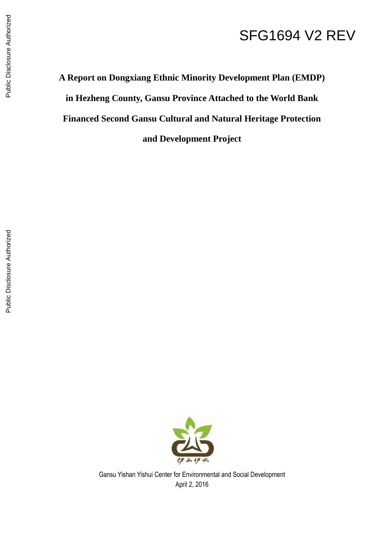# SFG1694 V2 REV

# **A Report on Dongxiang Ethnic Minority Development Plan (EMDP) in Hezheng County, Gansu Province Attached to the World Bank Financed Second Gansu Cultural and Natural Heritage Protection and Development Project**



Gansu Yishan Yishui Center for Environmental and Social Development April 2, 2016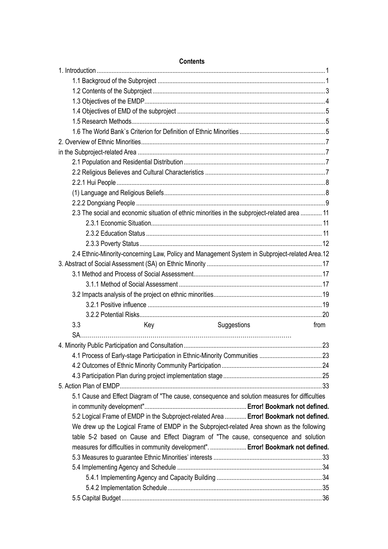| 2.3 The social and economic situation of ethnic minorities in the subproject-related area  11  |             |      |
|------------------------------------------------------------------------------------------------|-------------|------|
|                                                                                                |             |      |
|                                                                                                |             |      |
|                                                                                                |             |      |
| 2.4 Ethnic-Minority-concerning Law, Policy and Management System in Subproject-related Area.12 |             |      |
|                                                                                                |             |      |
|                                                                                                |             |      |
|                                                                                                |             |      |
|                                                                                                |             |      |
|                                                                                                |             |      |
|                                                                                                |             |      |
| 3.3<br>Key                                                                                     | Suggestions | from |
|                                                                                                |             |      |
|                                                                                                |             |      |
|                                                                                                |             |      |
|                                                                                                |             |      |
|                                                                                                |             |      |
|                                                                                                |             |      |
| 5.1 Cause and Effect Diagram of "The cause, consequence and solution measures for difficulties |             |      |
|                                                                                                |             |      |
| 5.2 Logical Frame of EMDP in the Subproject-related Area  Error! Bookmark not defined.         |             |      |
| We drew up the Logical Frame of EMDP in the Subproject-related Area shown as the following     |             |      |
| table 5-2 based on Cause and Effect Diagram of "The cause, consequence and solution            |             |      |
| measures for difficulties in community development".  Error! Bookmark not defined.             |             |      |
|                                                                                                |             |      |
|                                                                                                |             |      |
|                                                                                                |             |      |
|                                                                                                |             |      |
|                                                                                                |             |      |

## **Contents**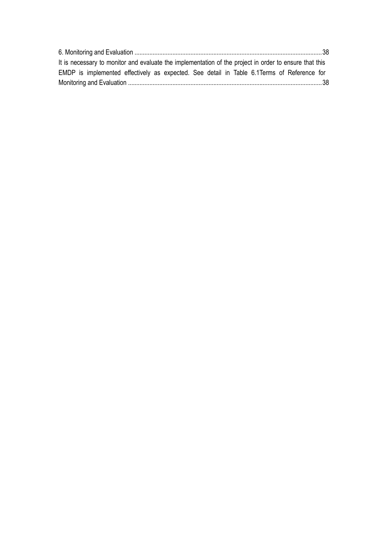| It is necessary to monitor and evaluate the implementation of the project in order to ensure that this |  |
|--------------------------------------------------------------------------------------------------------|--|
| EMDP is implemented effectively as expected. See detail in Table 6.1Terms of Reference for             |  |
|                                                                                                        |  |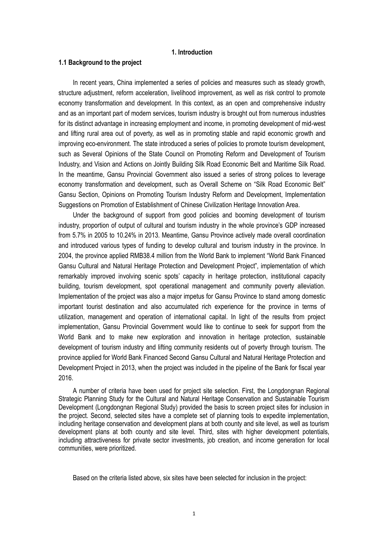## **1. Introduction**

## <span id="page-3-0"></span>**1.1 Background to the project**

In recent years, China implemented a series of policies and measures such as steady growth, structure adjustment, reform acceleration, livelihood improvement, as well as risk control to promote economy transformation and development. In this context, as an open and comprehensive industry and as an important part of modern services, tourism industry is brought out from numerous industries for its distinct advantage in increasing employment and income, in promoting development of mid-west and lifting rural area out of poverty, as well as in promoting stable and rapid economic growth and improving eco-environment. The state introduced a series of policies to promote tourism development, such as Several Opinions of the State Council on Promoting Reform and Development of Tourism Industry, and Vision and Actions on Jointly Building Silk Road Economic Belt and Maritime Silk Road. In the meantime, Gansu Provincial Government also issued a series of strong polices to leverage economy transformation and development, such as Overall Scheme on "Silk Road Economic Belt" Gansu Section, Opinions on Promoting Tourism Industry Reform and Development, Implementation Suggestions on Promotion of Establishment of Chinese Civilization Heritage Innovation Area.

Under the background of support from good policies and booming development of tourism industry, proportion of output of cultural and tourism industry in the whole province's GDP increased from 5.7% in 2005 to 10.24% in 2013. Meantime, Gansu Province actively made overall coordination and introduced various types of funding to develop cultural and tourism industry in the province. In 2004, the province applied RMB38.4 million from the World Bank to implement "World Bank Financed Gansu Cultural and Natural Heritage Protection and Development Project", implementation of which remarkably improved involving scenic spots' capacity in heritage protection, institutional capacity building, tourism development, spot operational management and community poverty alleviation. Implementation of the project was also a major impetus for Gansu Province to stand among domestic important tourist destination and also accumulated rich experience for the province in terms of utilization, management and operation of international capital. In light of the results from project implementation, Gansu Provincial Government would like to continue to seek for support from the World Bank and to make new exploration and innovation in heritage protection, sustainable development of tourism industry and lifting community residents out of poverty through tourism. The province applied for World Bank Financed Second Gansu Cultural and Natural Heritage Protection and Development Project in 2013, when the project was included in the pipeline of the Bank for fiscal year 2016.

A number of criteria have been used for project site selection. First, the Longdongnan Regional Strategic Planning Study for the Cultural and Natural Heritage Conservation and Sustainable Tourism Development (Longdongnan Regional Study) provided the basis to screen project sites for inclusion in the project. Second, selected sites have a complete set of planning tools to expedite implementation, including heritage conservation and development plans at both county and site level, as well as tourism development plans at both county and site level. Third, sites with higher development potentials, including attractiveness for private sector investments, job creation, and income generation for local communities, were prioritized.

Based on the criteria listed above, six sites have been selected for inclusion in the project: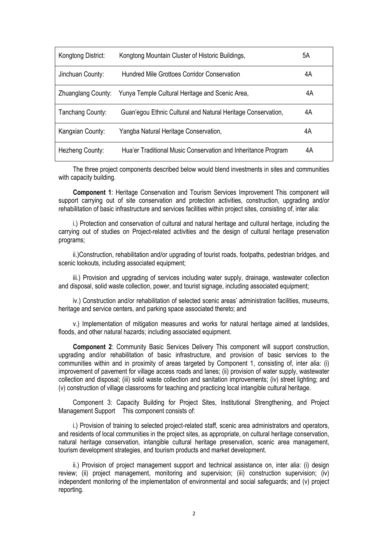| Kongtong District: | Kongtong Mountain Cluster of Historic Buildings,              | 5A |
|--------------------|---------------------------------------------------------------|----|
| Jinchuan County:   | <b>Hundred Mile Grottoes Corridor Conservation</b>            | 4A |
| Zhuanglang County: | Yunya Temple Cultural Heritage and Scenic Area,               | 4A |
| Tanchang County:   | Guan'egou Ethnic Cultural and Natural Heritage Conservation,  | 4A |
| Kangxian County:   | Yangba Natural Heritage Conservation,                         | 4A |
| Hezheng County:    | Hua'er Traditional Music Conservation and Inheritance Program | 4A |

The three project components described below would blend investments in sites and communities with capacity building.

**Component 1**: Heritage Conservation and Tourism Services Improvement This component will support carrying out of site conservation and protection activities, construction, upgrading and/or rehabilitation of basic infrastructure and services facilities within project sites, consisting of, inter alia:

i.) Protection and conservation of cultural and natural heritage and cultural heritage, including the carrying out of studies on Project-related activities and the design of cultural heritage preservation programs;

ii.)Construction, rehabilitation and/or upgrading of tourist roads, footpaths, pedestrian bridges, and scenic lookouts, including associated equipment;

iii.) Provision and upgrading of services including water supply, drainage, wastewater collection and disposal, solid waste collection, power, and tourist signage, including associated equipment;

iv.) Construction and/or rehabilitation of selected scenic areas' administration facilities, museums, heritage and service centers, and parking space associated thereto; and

v.) Implementation of mitigation measures and works for natural heritage aimed at landslides, floods, and other natural hazards; including associated equipment.

**Component 2**: Community Basic Services Delivery This component will support construction, upgrading and/or rehabilitation of basic infrastructure, and provision of basic services to the communities within and in proximity of areas targeted by Component 1, consisting of, inter alia: (i) improvement of pavement for village access roads and lanes; (ii) provision of water supply, wastewater collection and disposal; (iii) solid waste collection and sanitation improvements; (iv) street lighting; and (v) construction of village classrooms for teaching and practicing local intangible cultural heritage.

Component 3: Capacity Building for Project Sites, Institutional Strengthening, and Project Management Support This component consists of:

i.) Provision of training to selected project-related staff, scenic area administrators and operators, and residents of local communities in the project sites, as appropriate, on cultural heritage conservation, natural heritage conservation, intangible cultural heritage preservation, scenic area management, tourism development strategies, and tourism products and market development.

ii.) Provision of project management support and technical assistance on, inter alia: (i) design review; (ii) project management, monitoring and supervision; (iii) construction supervision; (iv) independent monitoring of the implementation of environmental and social safeguards; and (v) project reporting.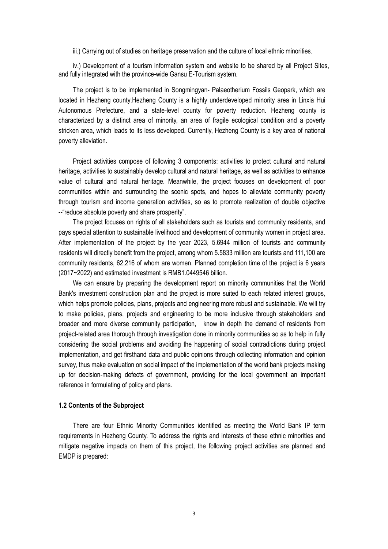iii.) Carrying out of studies on heritage preservation and the culture of local ethnic minorities.

iv.) Development of a tourism information system and website to be shared by all Project Sites, and fully integrated with the province-wide Gansu E-Tourism system.

The project is to be implemented in Songmingyan- Palaeotherium Fossils Geopark, which are located in Hezheng county.Hezheng County is a highly underdeveloped minority area in Linxia Hui Autonomous Prefecture, and a state-level county for poverty reduction. Hezheng county is characterized by a distinct area of minority, an area of fragile ecological condition and a poverty stricken area, which leads to its less developed. Currently, Hezheng County is a key area of national poverty alleviation.

Project activities compose of following 3 components: activities to protect cultural and natural heritage, activities to sustainably develop cultural and natural heritage, as well as activities to enhance value of cultural and natural heritage. Meanwhile, the project focuses on development of poor communities within and surrounding the scenic spots, and hopes to alleviate community poverty through tourism and income generation activities, so as to promote realization of double objective --"reduce absolute poverty and share prosperity".

The project focuses on rights of all stakeholders such as tourists and community residents, and pays special attention to sustainable livelihood and development of community women in project area. After implementation of the project by the year 2023, 5.6944 million of tourists and community residents will directly benefit from the project, among whom 5.5833 million are tourists and 111,100 are community residents, 62,216 of whom are women. Planned completion time of the project is 6 years (2017~2022) and estimated investment is RMB1.0449546 billion.

We can ensure by preparing the development report on minority communities that the World Bank's investment construction plan and the project is more suited to each related interest groups, which helps promote policies, plans, projects and engineering more robust and sustainable. We will try to make policies, plans, projects and engineering to be more inclusive through stakeholders and broader and more diverse community participation, know in depth the demand of residents from project-related area thorough through investigation done in minority communities so as to help in fully considering the social problems and avoiding the happening of social contradictions during project implementation, and get firsthand data and public opinions through collecting information and opinion survey, thus make evaluation on social impact of the implementation of the world bank projects making up for decision-making defects of government, providing for the local government an important reference in formulating of policy and plans.

## <span id="page-5-0"></span>**1.2 Contents of the Subproject**

There are four Ethnic Minority Communities identified as meeting the World Bank IP term requirements in Hezheng County. To address the rights and interests of these ethnic minorities and mitigate negative impacts on them of this project, the following project activities are planned and EMDP is prepared: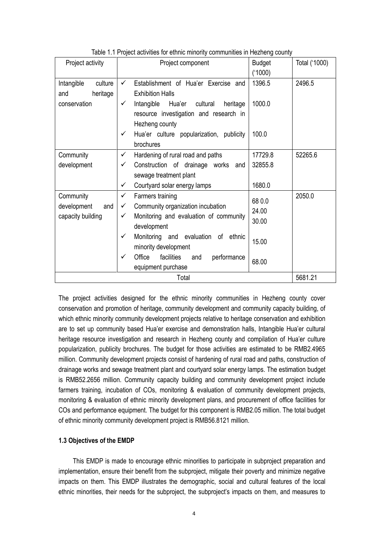| Project activity      | Project component                                          | <b>Budget</b> | Total ('1000) |
|-----------------------|------------------------------------------------------------|---------------|---------------|
|                       |                                                            | (1000)        |               |
| Intangible<br>culture | Establishment of Hua'er Exercise and<br>$\checkmark$       | 1396.5        | 2496.5        |
| heritage<br>and       | <b>Exhibition Halls</b>                                    |               |               |
| conservation          | Intangible<br>Hua'er cultural<br>heritage<br>✓             | 1000.0        |               |
|                       | resource investigation and research in                     |               |               |
|                       | Hezheng county                                             |               |               |
|                       | Hua'er culture popularization, publicity<br>✓              | 100.0         |               |
|                       | brochures                                                  |               |               |
| Community             | Hardening of rural road and paths<br>✓                     | 17729.8       | 52265.6       |
| development           | Construction of drainage works and<br>✓                    | 32855.8       |               |
|                       | sewage treatment plant                                     |               |               |
|                       | Courtyard solar energy lamps<br>✓                          | 1680.0        |               |
| Community             | Farmers training<br>$\checkmark$                           | 68 0.0        | 2050.0        |
| development<br>and    | Community organization incubation<br>✓                     | 24.00         |               |
| capacity building     | Monitoring and evaluation of community<br>✓                | 30.00         |               |
|                       | development                                                |               |               |
|                       | Monitoring and evaluation of ethnic<br>✓                   | 15.00         |               |
|                       | minority development                                       |               |               |
|                       | Office<br>facilities<br>$\checkmark$<br>performance<br>and | 68.00         |               |
|                       | equipment purchase                                         |               |               |
|                       | Total                                                      |               | 5681.21       |

Table 1.1 Project activities for ethnic minority communities in Hezheng county

<span id="page-6-0"></span>The project activities designed for the ethnic minority communities in Hezheng county cover conservation and promotion of heritage, community development and community capacity building, of which ethnic minority community development projects relative to heritage conservation and exhibition are to set up community based Hua'er exercise and demonstration halls, Intangible Hua'er cultural heritage resource investigation and research in Hezheng county and compilation of Hua'er culture popularization, publicity brochures. The budget for those activities are estimated to be RMB2.4965 million. Community development projects consist of hardening of rural road and paths, construction of drainage works and sewage treatment plant and courtyard solar energy lamps. The estimation budget is RMB52.2656 million. Community capacity building and community development project include farmers training, incubation of COs, monitoring & evaluation of community development projects, monitoring & evaluation of ethnic minority development plans, and procurement of office facilities for COs and performance equipment. The budget for this component is RMB2.05 million. The total budget of ethnic minority community development project is RMB56.8121 million.

### **1.3 Objectives of the EMDP**

This EMDP is made to encourage ethnic minorities to participate in subproject preparation and implementation, ensure their benefit from the subproject, mitigate their poverty and minimize negative impacts on them. This EMDP illustrates the demographic, social and cultural features of the local ethnic minorities, their needs for the subproject, the subproject's impacts on them, and measures to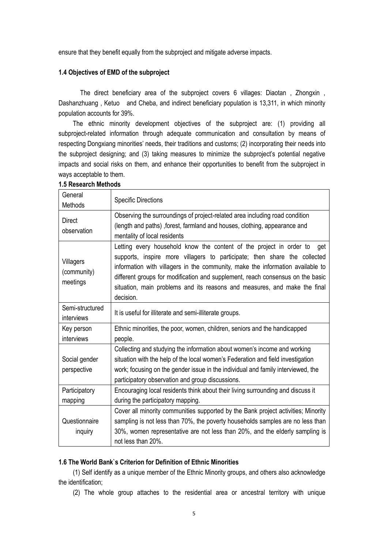<span id="page-7-0"></span>ensure that they benefit equally from the subproject and mitigate adverse impacts.

## **1.4 Objectives of EMD of the subproject**

 The direct beneficiary area of the subproject covers 6 villages: Diaotan , Zhongxin , Dashanzhuang, Ketuo and Cheba, and indirect beneficiary population is 13,311, in which minority population accounts for 39%.

The ethnic minority development objectives of the subproject are: (1) providing all subproject-related information through adequate communication and consultation by means of respecting Dongxiang minorities' needs, their traditions and customs; (2) incorporating their needs into the subproject designing; and (3) taking measures to minimize the subproject's potential negative impacts and social risks on them, and enhance their opportunities to benefit from the subproject in ways acceptable to them.

| General<br>Methods                   | <b>Specific Directions</b>                                                                                                                                                                                                                                                                                                                                                                                            |
|--------------------------------------|-----------------------------------------------------------------------------------------------------------------------------------------------------------------------------------------------------------------------------------------------------------------------------------------------------------------------------------------------------------------------------------------------------------------------|
| <b>Direct</b><br>observation         | Observing the surroundings of project-related area including road condition<br>(length and paths), forest, farmland and houses, clothing, appearance and<br>mentality of local residents                                                                                                                                                                                                                              |
| Villagers<br>(community)<br>meetings | Letting every household know the content of the project in order to<br>get<br>supports, inspire more villagers to participate; then share the collected<br>information with villagers in the community, make the information available to<br>different groups for modification and supplement, reach consensus on the basic<br>situation, main problems and its reasons and measures, and make the final<br>decision. |
| Semi-structured<br>interviews        | It is useful for illiterate and semi-illiterate groups.                                                                                                                                                                                                                                                                                                                                                               |
| Key person<br>interviews             | Ethnic minorities, the poor, women, children, seniors and the handicapped<br>people.                                                                                                                                                                                                                                                                                                                                  |
| Social gender<br>perspective         | Collecting and studying the information about women's income and working<br>situation with the help of the local women's Federation and field investigation<br>work; focusing on the gender issue in the individual and family interviewed, the<br>participatory observation and group discussions.                                                                                                                   |
| Participatory<br>mapping             | Encouraging local residents think about their living surrounding and discuss it<br>during the participatory mapping.                                                                                                                                                                                                                                                                                                  |
| Questionnaire<br>inquiry             | Cover all minority communities supported by the Bank project activities; Minority<br>sampling is not less than 70%, the poverty households samples are no less than<br>30%, women representative are not less than 20%, and the elderly sampling is<br>not less than 20%.                                                                                                                                             |

## <span id="page-7-1"></span>**1.5 Research Methods**

## <span id="page-7-2"></span>**1.6 The World Bank`s Criterion for Definition of Ethnic Minorities**

(1) Self identify as a unique member of the Ethnic Minority groups, and others also acknowledge the identification;

(2) The whole group attaches to the residential area or ancestral territory with unique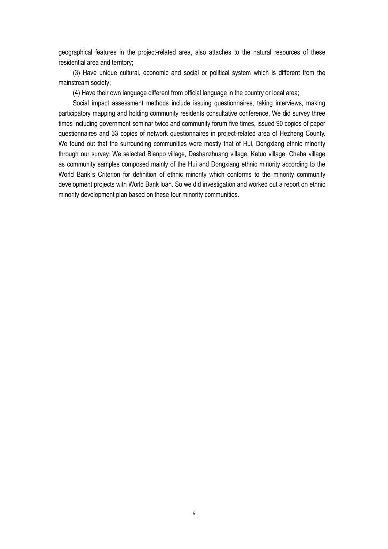geographical features in the project-related area, also attaches to the natural resources of these residential area and territory;

(3) Have unique cultural, economic and social or political system which is different from the mainstream society;

(4) Have their own language different from official language in the country or local area;

Social impact assessment methods include issuing questionnaires, taking interviews, making participatory mapping and holding community residents consultative conference. We did survey three times including government seminar twice and community forum five times, issued 90 copies of paper questionnaires and 33 copies of network questionnaires in project-related area of Hezheng County. We found out that the surrounding communities were mostly that of Hui, Dongxiang ethnic minority through our survey. We selected Bianpo village, Dashanzhuang village, Ketuo village, Cheba village as community samples composed mainly of the Hui and Dongxiang ethnic minority according to the World Bank`s Criterion for definition of ethnic minority which conforms to the minority community development projects with World Bank loan. So we did investigation and worked out a report on ethnic minority development plan based on these four minority communities.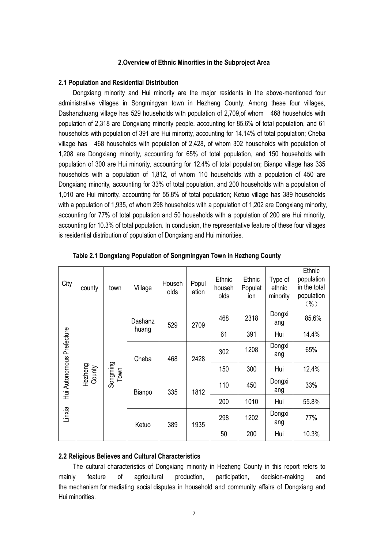## <span id="page-9-1"></span>**2.Overview of Ethnic Minorities in the Subproject Area**

### <span id="page-9-2"></span><span id="page-9-0"></span>**2.1 Population and Residential Distribution**

Dongxiang minority and Hui minority are the major residents in the above-mentioned four administrative villages in Songmingyan town in Hezheng County. Among these four villages, Dashanzhuang village has 529 households with population of 2,709,of whom 468 households with population of 2,318 are Dongxiang minority people, accounting for 85.6% of total population, and 61 households with population of 391 are Hui minority, accounting for 14.14% of total population; Cheba village has 468 households with population of 2,428, of whom 302 households with population of 1,208 are Dongxiang minority, accounting for 65% of total population, and 150 households with population of 300 are Hui minority, accounting for 12.4% of total population; Bianpo village has 335 households with a population of 1,812, of whom 110 households with a population of 450 are Dongxiang minority, accounting for 33% of total population, and 200 households with a population of 1,010 are Hui minority, accounting for 55.8% of total population; Ketuo village has 389 households with a population of 1,935, of whom 298 households with a population of 1,202 are Dongxiang minority, accounting for 77% of total population and 50 households with a population of 200 are Hui minority, accounting for 10.3% of total population. In conclusion, the representative feature of these four villages is residential distribution of population of Dongxiang and Hui minorities.

| City                                           | county           | town  | Village | Househ<br>olds | Popul<br>ation | Ethnic<br>househ<br>olds | Ethnic<br>Populat<br>ion | Type of<br>ethnic<br>minority | Ethnic<br>population<br>in the total<br>population<br>$(\% )$ |
|------------------------------------------------|------------------|-------|---------|----------------|----------------|--------------------------|--------------------------|-------------------------------|---------------------------------------------------------------|
|                                                |                  |       | Dashanz | 529            | 2709           | 468                      | 2318                     | Dongxi<br>ang                 | 85.6%                                                         |
| Hui Autonomous Prefecture<br>Hezheng<br>County | Songming<br>Town | huang |         |                | 61             | 391                      | Hui                      | 14.4%                         |                                                               |
|                                                |                  |       | Cheba   | 468            | 2428           | 302                      | 1208                     | Dongxi<br>ang                 | 65%                                                           |
|                                                |                  |       |         |                | 150            | 300                      | Hui                      | 12.4%                         |                                                               |
|                                                |                  |       | Bianpo  | 335            | 1812           | 110                      | 450                      | Dongxi<br>ang                 | 33%                                                           |
|                                                |                  |       |         |                |                | 200                      | 1010                     | Hui                           | 55.8%                                                         |
| Linxia                                         |                  | Ketuo |         | 389<br>1935    | 298            | 1202                     | Dongxi<br>ang            | 77%                           |                                                               |
|                                                |                  |       |         |                | 50             | 200                      | Hui                      | 10.3%                         |                                                               |

| Table 2.1 Dongxiang Population of Songmingyan Town in Hezheng County |  |  |
|----------------------------------------------------------------------|--|--|
|                                                                      |  |  |

## <span id="page-9-3"></span>**2.2 Religious Believes and Cultural Characteristics**

The cultural characteristics of Dongxiang minority in Hezheng County in this report refers to mainly feature of agricultural production, participation, decision-making and the mechanism for mediating social disputes in household and community affairs of Dongxiang and Hui minorities.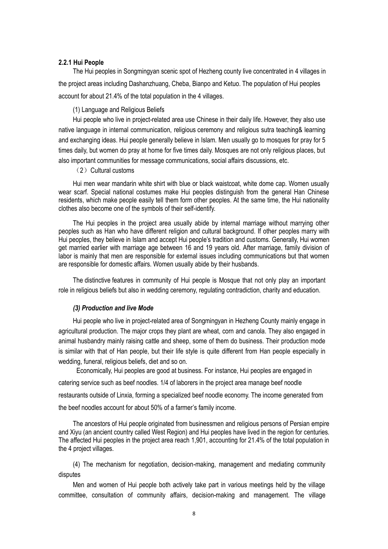## <span id="page-10-0"></span>**2.2.1 Hui People**

The Hui peoples in Songmingyan scenic spot of Hezheng county live concentrated in 4 villages in the project areas including Dashanzhuang, Cheba, Bianpo and Ketuo. The population of Hui peoples account for about 21.4% of the total population in the 4 villages.

(1) Language and Religious Beliefs

<span id="page-10-1"></span>Hui people who live in project-related area use Chinese in their daily life. However, they also use native language in internal communication, [religious](javascript:void(0);) ceremony and religious sutra teaching& learning and exchanging ideas. Hui people generally believe in Islam. Men usually go to mosques for pray for 5 times daily, but women do pray at home for five times daily. Mosques are not only religious places, but also important communities for message communications, social affairs discussions, etc.

## (2)Cultural customs

Hui men wear mandarin white shirt with blue or black waistcoat, white dome cap. Women usually wear scarf. Special national costumes make Hui peoples distinguish from the general Han Chinese residents, which make people easily tell them form other peoples. At the same time, the Hui nationality clothes also become one of the symbols of their self-identify.

The Hui peoples in the project area usually abide by internal marriage without marrying other peoples such as Han who have different religion and cultural background. If other peoples marry with Hui peoples, they believe in Islam and accept Hui people's tradition and customs. Generally, Hui women get married earlier with marriage age between 16 and 19 years old. After marriage, family division of labor is mainly that men are responsible for external issues including communications but that women are responsible for domestic affairs. Women usually abide by their husbands.

The distinctive features in community of Hui people is Mosque that not only play an important role in religious beliefs but also in wedding ceremony, regulating contradiction, charity and education.

#### *(3) Production and live Mode*

Hui people who live in project-related area of Songmingyan in Hezheng County mainly engage in agricultural production. The major crops they plant are wheat, corn and canola. They also engaged in animal husbandry mainly raising cattle and sheep, some of them do business. Their production mode is similar with that of Han people, but their life style is quite different from Han people especially in wedding, funeral, religious beliefs, diet and so on.

Economically, Hui peoples are good at business. For instance, Hui peoples are engaged in catering service such as beef noodles. 1/4 of laborers in the project area manage beef noodle restaurants outside of Linxia, forming a specialized beef noodle economy. The income generated from the beef noodles account for about 50% of a farmer's family income.

The ancestors of Hui people originated from businessmen and religious persons of Persian empire and Xiyu (an ancient country called West Region) and Hui peoples have lived in the region for centuries. The affected Hui peoples in the project area reach 1,901, accounting for 21.4% of the total population in the 4 project villages.

(4) The mechanism for negotiation, decision-making, management and mediating community disputes

Men and women of Hui people both actively take part in various meetings held by the village committee, consultation of community affairs, decision-making and management. The village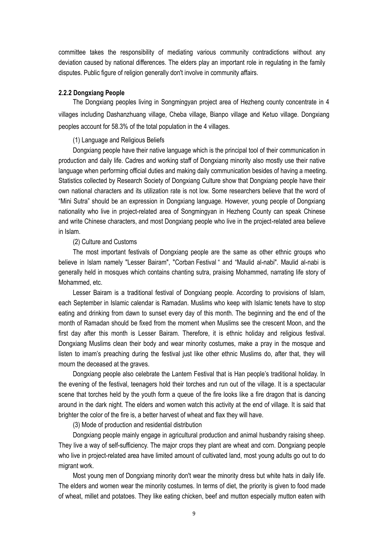committee takes the responsibility of mediating various community contradictions without any deviation caused by national differences. The elders play an important role in regulating in the family disputes. Public figure of religion generally don't involve in community affairs.

#### <span id="page-11-0"></span>**2.2.2 Dongxiang People**

The Dongxiang peoples living in Songmingyan project area of Hezheng county concentrate in 4 villages including Dashanzhuang village, Cheba village, Bianpo village and Ketuo village. Dongxiang peoples account for 58.3% of the total population in the 4 villages.

## (1) Language and Religious Beliefs

Dongxiang people have their native language which is the principal tool of their communication in production and daily life. Cadres and working staff of Dongxiang minority also mostly use their native language when performing official duties and making daily communication besides of having a meeting. Statistics collected by Research Society of Dongxiang Culture show that Dongxiang people have their own national characters and its utilization rate is not low. Some researchers believe that the word of "Mini Sutra" should be an expression in Dongxiang language. However, young people of Dongxiang nationality who live in project-related area of Songmingyan in Hezheng County can speak Chinese and write Chinese characters, and most Dongxiang people who live in the project-related area believe in Islam.

## (2) Culture and Customs

The most important festivals of Dongxiang people are the same as other ethnic groups who believe in Islam namely "Lesser Bairam", ["Corban](javascript:void(0);) [Festival](javascript:void(0);) " and "Maulid al-nabi". Maulid al-nabi is generally held in mosques which contains chanting sutra, praising Mohammed, narrating life story of Mohammed, etc.

Lesser Bairam is a traditional festival of Dongxiang people. According to provisions of Islam, each September in Islamic calendar is Ramadan. Muslims who keep with Islamic tenets have to stop eating and drinking from dawn to sunset every day of this month. The beginning and the end of the month of Ramadan should be fixed from the moment when Muslims see the crescent Moon, and the first day after this month is Lesser Bairam. Therefore, it is ethnic holiday and religious festival. Dongxiang Muslims clean their body and wear minority costumes, make a pray in the mosque and listen to imam's preaching during the festival just like other ethnic Muslims do, after that, they will mourn the deceased at the graves.

Dongxiang people also celebrate the Lantern Festival that is Han people's traditional holiday. In the evening of the festival, teenagers hold their torches and run out of the village. It is a spectacular scene that torches held by the youth form a queue of the fire looks like a fire dragon that is dancing around in the dark night. The elders and women watch this activity at the end of village. It is said that brighter the color of the fire is, a better harvest of wheat and flax they will have.

(3) Mode of production and residential distribution

Dongxiang people mainly engage in agricultural production and animal husbandry raising sheep. They live a way of self-sufficiency. The major crops they plant are wheat and corn. Dongxiang people who live in project-related area have limited amount of cultivated land, most young adults go out to do migrant work.

Most young men of Dongxiang minority don't wear the minority dress but white hats in daily life. The elders and women wear the minority costumes. In terms of diet, the priority is given to food made of wheat, millet and potatoes. They like eating chicken, beef and mutton especially mutton eaten with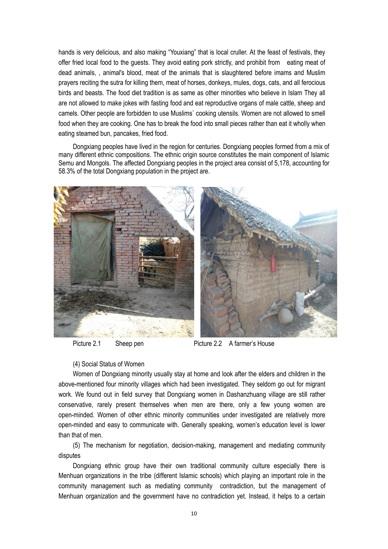hands is very delicious, and also making "Youxiang" that is local cruller. At the feast of festivals, they offer fried local food to the guests. They avoid eating pork strictly, and prohibit from eating meat of dead animals, , animal's blood, meat of the animals that is slaughtered before imams and Muslim prayers reciting the sutra for killing them, meat of horses, donkeys, mules, dogs, cats, and all ferocious birds and beasts. The food diet tradition is as same as other minorities who believe in Islam They all are not allowed to make jokes with fasting food and eat reproductive organs of male cattle, sheep and camels. Other people are forbidden to use Muslims` cooking utensils. Women are not allowed to smell food when they are cooking. One has to break the food into small pieces rather than eat it wholly when eating steamed bun, pancakes, fried food.

Dongxiang peoples have lived in the region for centuries. Dongxiang peoples formed from a mix of many different ethnic compositions. The ethnic origin source constitutes the main component of Islamic Semu and Mongols. The affected Dongxiang peoples in the project area consist of 5,178, accounting for 58.3% of the total Dongxiang population in the project are.



Picture 2.1 Sheep pen Picture 2.2 A farmer's House

#### (4) Social Status of Women

Women of Dongxiang minority usually stay at home and look after the elders and children in the above-mentioned four minority villages which had been investigated. They seldom go out for migrant work. We found out in field survey that Dongxiang women in Dashanzhuang village are still rather conservative, rarely present themselves when men are there, only a few young women are open-minded. Women of other ethnic minority communities under investigated are relatively more open-minded and easy to communicate with. Generally speaking, women's education level is lower than that of men.

(5) The mechanism for negotiation, decision-making, management and mediating community disputes

Dongxiang ethnic group have their own traditional community culture especially there is Menhuan organizations in the tribe (different Islamic schools) which playing an important role in the community management such as mediating community contradiction, but the management of Menhuan organization and the government have no contradiction yet. Instead, it helps to a certain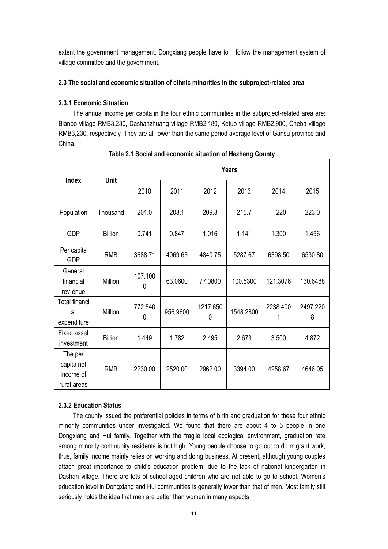extent the government management. Dongxiang people have to follow the management system of village committee and the government.

## <span id="page-13-0"></span>**2.3 The social and economic situation of ethnic minorities in the subproject-related area**

## <span id="page-13-1"></span>**2.3.1 Economic Situation**

The annual income per capita in the four ethnic communities in the subproject-related area are: Bianpo village RMB3,230, Dashanzhuang village RMB2,180, Ketuo village RMB2,900, Cheba village RMB3,230, respectively. They are all lower than the same period average level of Gansu province and China.

|                                                   |                |              |          |               | <b>Years</b> |          |               |
|---------------------------------------------------|----------------|--------------|----------|---------------|--------------|----------|---------------|
| <b>Index</b>                                      | Unit           | 2010         | 2011     | 2012          | 2013         | 2014     | 2015          |
| Population                                        | Thousand       | 201.0        | 208.1    | 209.8         | 215.7        | 220      | 223.0         |
| <b>GDP</b>                                        | <b>Billion</b> | 0.741        | 0.847    | 1.016         | 1.141        | 1.300    | 1.456         |
| Per capita<br><b>GDP</b>                          | <b>RMB</b>     | 3688.71      | 4069.63  | 4840.75       | 5287.67      | 6398.50  | 6530.80       |
| General<br>financial<br>rev-enue                  | <b>Million</b> | 107.100<br>0 | 63.0600  | 77.0800       | 100.5300     | 121.3076 | 130.6488      |
| Total financi<br>al<br>expenditure                | <b>Million</b> | 772.840<br>0 | 956.9600 | 1217.650<br>0 | 1548.2800    | 2238.400 | 2497.220<br>8 |
| Fixed asset<br>investment                         | <b>Billion</b> | 1.449        | 1.782    | 2.495         | 2.673        | 3.500    | 4.872         |
| The per<br>capita net<br>income of<br>rural areas | <b>RMB</b>     | 2230.00      | 2520.00  | 2962.00       | 3394.00      | 4258.67  | 4646.05       |

**Table 2.1 Social and economic situation of Hezheng County**

## <span id="page-13-2"></span>**2.3.2 Education Status**

The county issued the preferential policies in terms of birth and graduation for these four ethnic minority communities under investigated. We found that there are about 4 to 5 people in one Dongxiang and Hui family. Together with the fragile local ecological environment, graduation rate among minority community residents is not high. Young people choose to go out to do migrant work, thus, family income mainly relies on working and doing business. At present, although young couples attach great importance to child's education problem, due to the lack of national kindergarten in Dashan village. There are lots of school-aged children who are not able to go to school. Women's education level in Dongxiang and Hui communities is generally lower than that of men. Most family still seriously holds the idea that men are better than women in many aspects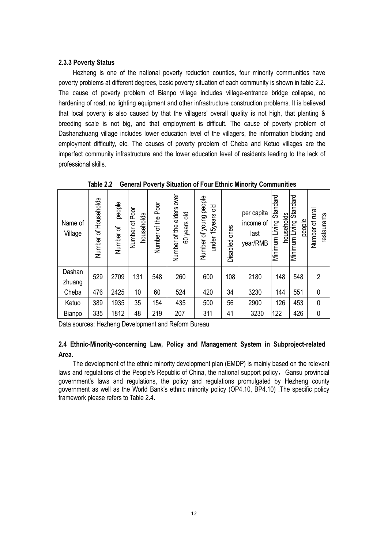#### <span id="page-14-0"></span>**2.3.3 Poverty Status**

Hezheng is one of the national poverty reduction counties, four minority communities have poverty problems at different degrees, basic poverty situation of each community is shown in table 2.2. The cause of poverty problem of Bianpo village includes village-entrance bridge collapse, no hardening of road, no lighting equipment and other infrastructure construction problems. It is believed that local poverty is also caused by that the villagers' overall quality is not high, that planting & breeding scale is not big, and that employment is difficult. The cause of poverty problem of Dashanzhuang village includes lower education level of the villagers, the information blocking and employment difficulty, etc. The causes of poverty problem of Cheba and Ketuo villages are the imperfect community infrastructure and the lower education level of residents leading to the lack of professional skills.

| Name of<br>Village | of Households<br>Number | people<br>Number of | Poor<br>households<br>৳<br>Number | Poor<br>Number of the | over<br>Number of the elders<br>꽁<br>60 years | Number of young people<br>꽁<br><b>Syears</b><br>$\overline{\phantom{0}}$<br>under <sup>-</sup> | ones<br>Disabled | per capita<br>income of<br>last<br>year/RMB | Standard<br>households<br>Minimum Living | Standard<br>people<br>Minimum Living | Number of rural<br>restaurants |
|--------------------|-------------------------|---------------------|-----------------------------------|-----------------------|-----------------------------------------------|------------------------------------------------------------------------------------------------|------------------|---------------------------------------------|------------------------------------------|--------------------------------------|--------------------------------|
| Dashan             | 529                     | 2709                | 131                               | 548                   | 260                                           | 600                                                                                            | 108              | 2180                                        | 148                                      | 548                                  | $\overline{2}$                 |
| zhuang             |                         |                     |                                   |                       |                                               |                                                                                                |                  |                                             |                                          |                                      |                                |
| Cheba              | 476                     | 2425                | 10                                | 60                    | 524                                           | 420                                                                                            | 34               | 3230                                        | 144                                      | 551                                  | $\mathbf 0$                    |
| Ketuo              | 389                     | 1935                | 35                                | 154                   | 435                                           | 500                                                                                            | 56               | 2900                                        | 126                                      | 453                                  | $\mathbf 0$                    |
| Bianpo             | 335                     | 1812                | 48                                | 219                   | 207                                           | 311                                                                                            | 41               | 3230                                        | 122                                      | 426                                  | $\mathbf 0$                    |

**Table 2.2 General Poverty Situation of Four Ethnic Minority Communities**

Data sources: Hezheng Development and Reform Bureau

## <span id="page-14-1"></span>**2.4 Ethnic-Minority-concerning Law, Policy and Management System in Subproject-related Area.**

The development of the ethnic minority development plan (EMDP) is mainly based on the relevant laws and regulations of the People's Republic of China, the national support policy, Gansu provincial government's laws and regulations, the policy and regulations promulgated by Hezheng county government as well as the World Bank's ethnic minority policy (OP4.10, BP4.10) .The specific policy framework please refers to Table 2.4.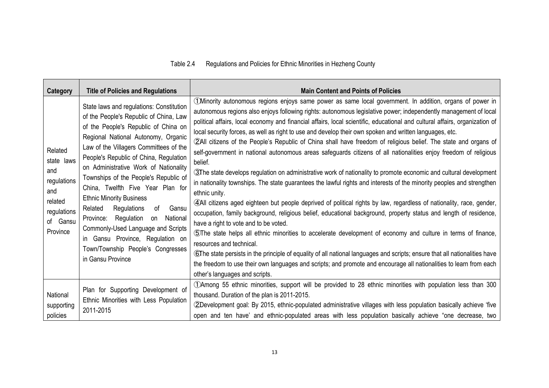## Table 2.4 Regulations and Policies for Ethnic Minorities in Hezheng County

| <b>Category</b>                                                                                      | <b>Title of Policies and Regulations</b>                                                                                                                                                                                                                                                                                                                                                                                                                                                                                                                                                                                            | <b>Main Content and Points of Policies</b>                                                                                                                                                                                                                                                                                                                                                                                                                                                                                                                                                                                                                                                                                                                                                                                                                                                                                                                                                                                                                                                                                                                                                                                                                                                                                                                                                                                                                                                                                                                                                                                                                                                                    |
|------------------------------------------------------------------------------------------------------|-------------------------------------------------------------------------------------------------------------------------------------------------------------------------------------------------------------------------------------------------------------------------------------------------------------------------------------------------------------------------------------------------------------------------------------------------------------------------------------------------------------------------------------------------------------------------------------------------------------------------------------|---------------------------------------------------------------------------------------------------------------------------------------------------------------------------------------------------------------------------------------------------------------------------------------------------------------------------------------------------------------------------------------------------------------------------------------------------------------------------------------------------------------------------------------------------------------------------------------------------------------------------------------------------------------------------------------------------------------------------------------------------------------------------------------------------------------------------------------------------------------------------------------------------------------------------------------------------------------------------------------------------------------------------------------------------------------------------------------------------------------------------------------------------------------------------------------------------------------------------------------------------------------------------------------------------------------------------------------------------------------------------------------------------------------------------------------------------------------------------------------------------------------------------------------------------------------------------------------------------------------------------------------------------------------------------------------------------------------|
| Related<br>state laws<br>and<br>regulations<br>and<br>related<br>regulations<br>of Gansu<br>Province | State laws and regulations: Constitution<br>of the People's Republic of China, Law<br>of the People's Republic of China on<br>Regional National Autonomy, Organic<br>Law of the Villagers Committees of the<br>People's Republic of China, Regulation<br>on Administrative Work of Nationality<br>Townships of the People's Republic of<br>China, Twelfth Five Year Plan for<br><b>Ethnic Minority Business</b><br>Gansu<br>Related<br>Regulations<br>of<br>on National<br>Province: Regulation<br>Commonly-Used Language and Scripts<br>in Gansu Province, Regulation on<br>Town/Township People's Congresses<br>in Gansu Province | UMinority autonomous regions enjoys same power as same local government. In addition, organs of power in<br>autonomous regions also enjoys following rights: autonomous legislative power; independently management of local<br>political affairs, local economy and financial affairs, local scientific, educational and cultural affairs, organization of<br>local security forces, as well as right to use and develop their own spoken and written languages, etc.<br>2All citizens of the People's Republic of China shall have freedom of religious belief. The state and organs of<br>self-government in national autonomous areas safeguards citizens of all nationalities enjoy freedom of religious<br>belief.<br>The state develops regulation on administrative work of nationality to promote economic and cultural development<br>in nationality townships. The state guarantees the lawful rights and interests of the minority peoples and strengthen<br>ethnic unity.<br>4All citizens aged eighteen but people deprived of political rights by law, regardless of nationality, race, gender,<br>occupation, family background, religious belief, educational background, property status and length of residence,<br>have a right to vote and to be voted.<br>SThe state helps all ethnic minorities to accelerate development of economy and culture in terms of finance,<br>resources and technical.<br>The state persists in the principle of equality of all national languages and scripts; ensure that all nationalities have<br>the freedom to use their own languages and scripts; and promote and encourage all nationalities to learn from each<br>other's languages and scripts. |
| National<br>supporting<br>policies                                                                   | Plan for Supporting Development of<br>Ethnic Minorities with Less Population<br>2011-2015                                                                                                                                                                                                                                                                                                                                                                                                                                                                                                                                           | 10 OAmong 55 ethnic minorities, support will be provided to 28 ethnic minorities with population less than 300<br>thousand. Duration of the plan is 2011-2015.<br>2Development goal: By 2015, ethnic-populated administrative villages with less population basically achieve 'five<br>open and ten have' and ethnic-populated areas with less population basically achieve "one decrease, two                                                                                                                                                                                                                                                                                                                                                                                                                                                                                                                                                                                                                                                                                                                                                                                                                                                                                                                                                                                                                                                                                                                                                                                                                                                                                                                |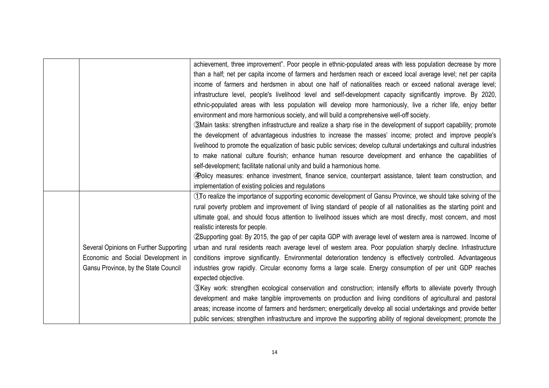|                                        | achievement, three improvement". Poor people in ethnic-populated areas with less population decrease by more           |
|----------------------------------------|------------------------------------------------------------------------------------------------------------------------|
|                                        | than a half; net per capita income of farmers and herdsmen reach or exceed local average level; net per capita         |
|                                        |                                                                                                                        |
|                                        | income of farmers and herdsmen in about one half of nationalities reach or exceed national average level;              |
|                                        | infrastructure level, people's livelihood level and self-development capacity significantly improve. By 2020,          |
|                                        | ethnic-populated areas with less population will develop more harmoniously, live a richer life, enjoy better           |
|                                        | environment and more harmonious society, and will build a comprehensive well-off society.                              |
|                                        | 3 Main tasks: strengthen infrastructure and realize a sharp rise in the development of support capability; promote     |
|                                        | the development of advantageous industries to increase the masses' income; protect and improve people's                |
|                                        | livelihood to promote the equalization of basic public services; develop cultural undertakings and cultural industries |
|                                        | to make national culture flourish; enhance human resource development and enhance the capabilities of                  |
|                                        | self-development; facilitate national unity and build a harmonious home.                                               |
|                                        | (Policy measures: enhance investment, finance service, counterpart assistance, talent team construction, and           |
|                                        | implementation of existing policies and regulations                                                                    |
|                                        | To realize the importance of supporting economic development of Gansu Province, we should take solving of the          |
|                                        | rural poverty problem and improvement of living standard of people of all nationalities as the starting point and      |
|                                        | ultimate goal, and should focus attention to livelihood issues which are most directly, most concern, and most         |
|                                        | realistic interests for people.                                                                                        |
|                                        | 2Supporting goal: By 2015, the gap of per capita GDP with average level of western area is narrowed. Income of         |
| Several Opinions on Further Supporting | urban and rural residents reach average level of western area. Poor population sharply decline. Infrastructure         |
| Economic and Social Development in     | conditions improve significantly. Environmental deterioration tendency is effectively controlled. Advantageous         |
| Gansu Province, by the State Council   | industries grow rapidly. Circular economy forms a large scale. Energy consumption of per unit GDP reaches              |
|                                        | expected objective.                                                                                                    |
|                                        | 3 Key work: strengthen ecological conservation and construction; intensify efforts to alleviate poverty through        |
|                                        | development and make tangible improvements on production and living conditions of agricultural and pastoral            |
|                                        |                                                                                                                        |
|                                        | areas; increase income of farmers and herdsmen; energetically develop all social undertakings and provide better       |
|                                        | public services; strengthen infrastructure and improve the supporting ability of regional development; promote the     |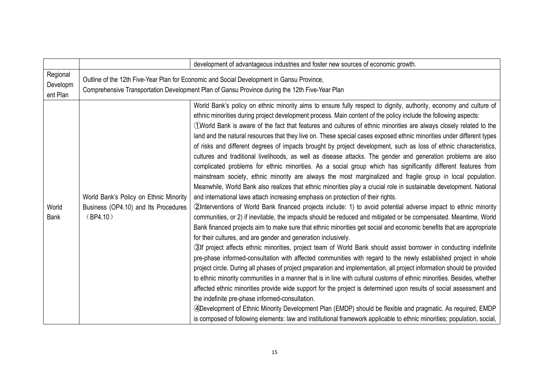|                                  |                                                                                                                                                                                             | development of advantageous industries and foster new sources of economic growth.                                                                                                                                                                                                                                                                                                                                                                                                                                                                                                                                                                                                                                                                                                                                                                                                                                                                                                                                                                                                                                                                                                                                                                                                                                                                                                                                                                                                                                                                                                                                                                                                                                                                                                                                                                                                                                                                                                                                                                                                                                                                                                                                                                                                                                                                                                                                                                                                                                         |  |  |
|----------------------------------|---------------------------------------------------------------------------------------------------------------------------------------------------------------------------------------------|---------------------------------------------------------------------------------------------------------------------------------------------------------------------------------------------------------------------------------------------------------------------------------------------------------------------------------------------------------------------------------------------------------------------------------------------------------------------------------------------------------------------------------------------------------------------------------------------------------------------------------------------------------------------------------------------------------------------------------------------------------------------------------------------------------------------------------------------------------------------------------------------------------------------------------------------------------------------------------------------------------------------------------------------------------------------------------------------------------------------------------------------------------------------------------------------------------------------------------------------------------------------------------------------------------------------------------------------------------------------------------------------------------------------------------------------------------------------------------------------------------------------------------------------------------------------------------------------------------------------------------------------------------------------------------------------------------------------------------------------------------------------------------------------------------------------------------------------------------------------------------------------------------------------------------------------------------------------------------------------------------------------------------------------------------------------------------------------------------------------------------------------------------------------------------------------------------------------------------------------------------------------------------------------------------------------------------------------------------------------------------------------------------------------------------------------------------------------------------------------------------------------------|--|--|
| Regional<br>Developm<br>ent Plan | Outline of the 12th Five-Year Plan for Economic and Social Development in Gansu Province,<br>Comprehensive Transportation Development Plan of Gansu Province during the 12th Five-Year Plan |                                                                                                                                                                                                                                                                                                                                                                                                                                                                                                                                                                                                                                                                                                                                                                                                                                                                                                                                                                                                                                                                                                                                                                                                                                                                                                                                                                                                                                                                                                                                                                                                                                                                                                                                                                                                                                                                                                                                                                                                                                                                                                                                                                                                                                                                                                                                                                                                                                                                                                                           |  |  |
| World<br><b>Bank</b>             | World Bank's Policy on Ethnic Minority<br>Business (OP4.10) and Its Procedures<br>(BP4.10)                                                                                                  | World Bank's policy on ethnic minority aims to ensure fully respect to dignity, authority, economy and culture of<br>ethnic minorities during project development process. Main content of the policy include the following aspects:<br>10 World Bank is aware of the fact that features and cultures of ethnic minorities are always closely related to the<br>land and the natural resources that they live on. These special cases exposed ethnic minorities under different types<br>of risks and different degrees of impacts brought by project development, such as loss of ethnic characteristics,<br>cultures and traditional livelihoods, as well as disease attacks. The gender and generation problems are also<br>complicated problems for ethnic minorities. As a social group which has significantly different features from<br>mainstream society, ethnic minority are always the most marginalized and fragile group in local population.<br>Meanwhile, World Bank also realizes that ethnic minorities play a crucial role in sustainable development. National<br>and international laws attach increasing emphasis on protection of their rights.<br>Chiterventions of World Bank financed projects include: 1) to avoid potential adverse impact to ethnic minority<br>communities, or 2) if inevitable, the impacts should be reduced and mitigated or be compensated. Meantime, World<br>Bank financed projects aim to make sure that ethnic minorities get social and economic benefits that are appropriate<br>for their cultures, and are gender and generation inclusively.<br>3If project affects ethnic minorities, project team of World Bank should assist borrower in conducting indefinite<br>pre-phase informed-consultation with affected communities with regard to the newly established project in whole<br>project circle. During all phases of project preparation and implementation, all project information should be provided<br>to ethnic minority communities in a manner that is in line with cultural customs of ethnic minorities. Besides, whether<br>affected ethnic minorities provide wide support for the project is determined upon results of social assessment and<br>the indefinite pre-phase informed-consultation.<br>4Development of Ethnic Minority Development Plan (EMDP) should be flexible and pragmatic. As required, EMDP<br>is composed of following elements: law and institutional framework applicable to ethnic minorities; population, social, |  |  |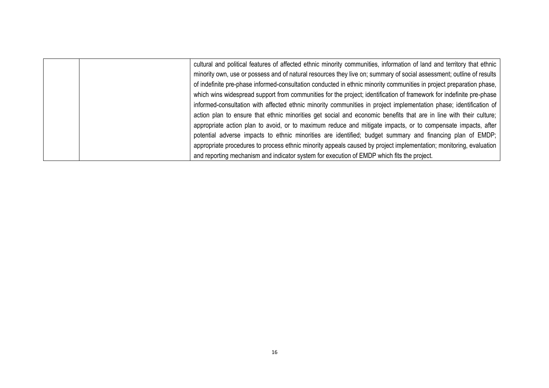|  | cultural and political features of affected ethnic minority communities, information of land and territory that ethnic |
|--|------------------------------------------------------------------------------------------------------------------------|
|  | minority own, use or possess and of natural resources they live on; summary of social assessment; outline of results   |
|  | of indefinite pre-phase informed-consultation conducted in ethnic minority communities in project preparation phase,   |
|  | which wins widespread support from communities for the project; identification of framework for indefinite pre-phase   |
|  | informed-consultation with affected ethnic minority communities in project implementation phase; identification of     |
|  | action plan to ensure that ethnic minorities get social and economic benefits that are in line with their culture;     |
|  | appropriate action plan to avoid, or to maximum reduce and mitigate impacts, or to compensate impacts, after           |
|  | potential adverse impacts to ethnic minorities are identified; budget summary and financing plan of EMDP;              |
|  | appropriate procedures to process ethnic minority appeals caused by project implementation; monitoring, evaluation     |
|  | and reporting mechanism and indicator system for execution of EMDP which fits the project.                             |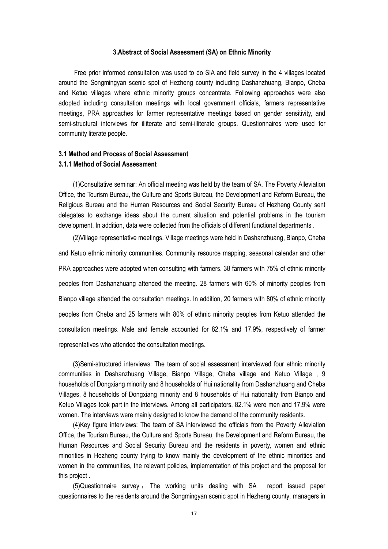#### **3.Abstract of Social Assessment (SA) on Ethnic Minority**

<span id="page-19-0"></span>Free prior informed consultation was used to do SIA and field survey in the 4 villages located around the Songmingyan scenic spot of Hezheng county including Dashanzhuang, Bianpo, Cheba and Ketuo villages where ethnic minority groups concentrate. Following approaches were also adopted including consultation meetings with local government officials, farmers representative meetings, PRA approaches for farmer representative meetings based on gender sensitivity, and semi-structural interviews for illiterate and semi-illiterate groups. Questionnaires were used for community literate people.

# <span id="page-19-1"></span>**3.1 Method and Process of Social Assessment**

## <span id="page-19-2"></span>**3.1.1 Method of Social Assessment**

(1)Consultative seminar: An official meeting was held by the team of SA. The Poverty Alleviation Office, the Tourism Bureau, the Culture and Sports Bureau, the Development and Reform Bureau, the Religious Bureau and the Human Resources and Social Security Bureau of Hezheng County sent delegates to exchange ideas about the current situation and potential problems in the tourism development. In addition, data were collected from the officials of different functional departments .

(2)Village representative meetings. Village meetings were held in Dashanzhuang, Bianpo, Cheba and Ketuo ethnic minority communities. Community resource mapping, seasonal calendar and other PRA approaches were adopted when consulting with farmers. 38 farmers with 75% of ethnic minority peoples from Dashanzhuang attended the meeting. 28 farmers with 60% of minority peoples from Bianpo village attended the consultation meetings. In addition, 20 farmers with 80% of ethnic minority peoples from Cheba and 25 farmers with 80% of ethnic minority peoples from Ketuo attended the consultation meetings. Male and female accounted for 82.1% and 17.9%, respectively of farmer representatives who attended the consultation meetings.

(3)Semi-structured interviews: The team of social assessment interviewed four ethnic minority communities in Dashanzhuang Village, Bianpo Village, Cheba village and Ketuo Village , 9 households of Dongxiang minority and 8 households of Hui nationality from Dashanzhuang and Cheba Villages, 8 households of Dongxiang minority and 8 households of Hui nationality from Bianpo and Ketuo Villages took part in the interviews. Among all participators, 82.1% were men and 17.9% were women. The interviews were mainly designed to know the demand of the community residents.

(4)Key figure interviews: The team of SA interviewed the officials from the Poverty Alleviation Office, the Tourism Bureau, the Culture and Sports Bureau, the Development and Reform Bureau, the Human Resources and Social Security Bureau and the residents in poverty, women and ethnic minorities in Hezheng county trying to know mainly the development of the ethnic minorities and women in the communities, the relevant policies, implementation of this project and the proposal for this project .

(5)Questionnaire survey : The working units dealing with SA report issued paper questionnaires to the residents around the Songmingyan scenic spot in Hezheng county, managers in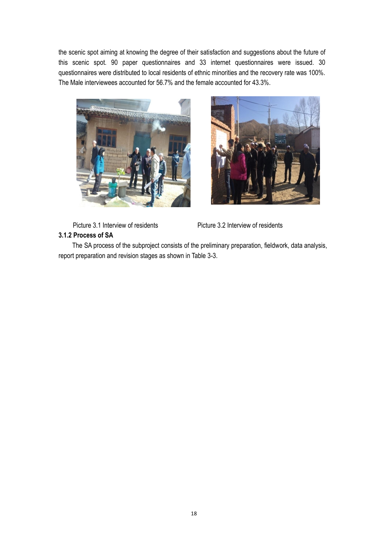the scenic spot aiming at knowing the degree of their satisfaction and suggestions about the future of this scenic spot. 90 paper questionnaires and 33 internet questionnaires were issued. 30 questionnaires were distributed to local residents of ethnic minorities and the recovery rate was 100%. The Male interviewees accounted for 56.7% and the female accounted for 43.3%.





Picture 3.1 Interview of residents Picture 3.2 Interview of residents

## **3.1.2 Process of SA**

The SA process of the subproject consists of the preliminary preparation, fieldwork, data analysis, report preparation and revision stages as shown in Table 3-3.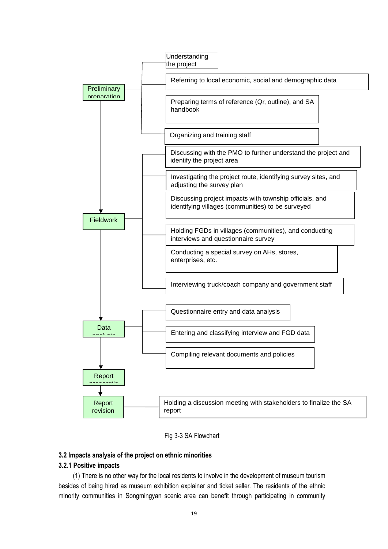



## <span id="page-21-0"></span>**3.2 Impacts analysis of the project on ethnic minorities**

## <span id="page-21-1"></span>**3.2.1 Positive impacts**

(1) There is no other way for the local residents to involve in the development of museum tourism besides of being hired as museum exhibition explainer and ticket seller. The residents of the ethnic minority communities in Songmingyan scenic area can benefit through participating in community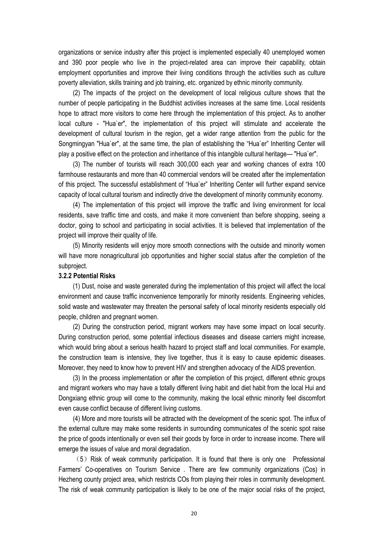organizations or service industry after this project is implemented especially 40 unemployed women and 390 poor people who live in the project-related area can improve their capability, obtain employment opportunities and improve their living conditions through the activities such as culture poverty alleviation, skills training and job training, etc. organized by ethnic minority community.

(2) The impacts of the project on the development of local religious culture shows that the number of people participating in the Buddhist activities increases at the same time. Local residents hope to attract more visitors to come here through the implementation of this project. As to another local culture - "Hua`er", the implementation of this project will stimulate and accelerate the development of cultural tourism in the region, get a wider range attention from the public for the Songmingyan "Hua`er", at the same time, the plan of establishing the "Hua`er" Inheriting Center will play a positive effect on the protection and inheritance of this intangible cultural heritage— "Hua`er".

(3) The number of tourists will reach 300,000 each year and working chances of extra 100 farmhouse restaurants and more than 40 commercial vendors will be created after the implementation of this project. The successful establishment of "Hua`er" Inheriting Center will further expand service capacity of local cultural tourism and indirectly drive the development of minority community economy.

(4) The implementation of this project will improve the traffic and living environment for local residents, save traffic time and costs, and make it more convenient than before shopping, seeing a doctor, going to school and participating in social activities. It is believed that implementation of the project will improve their quality of life.

(5) Minority residents will enjoy more smooth connections with the outside and minority women will have more nonagricultural job opportunities and higher social status after the completion of the subproject.

## <span id="page-22-0"></span>**3.2.2 Potential Risks**

(1) Dust, noise and waste generated during the implementation of this project will affect the local environment and cause traffic inconvenience temporarily for minority residents. Engineering vehicles, solid waste and wastewater may threaten the personal safety of local minority residents especially old people, children and pregnant women.

(2) During the construction period, migrant workers may have some impact on local security. During construction period, some potential infectious diseases and disease carriers might increase, which would bring about a serious health hazard to project staff and local communities. For example, the construction team is intensive, they live together, thus it is easy to cause epidemic diseases. Moreover, they need to know how to prevent HIV and strengthen advocacy of the AIDS prevention.

(3) In the process implementation or after the completion of this project, different ethnic groups and migrant workers who may have a totally different living habit and diet habit from the local Hui and Dongxiang ethnic group will come to the community, making the local ethnic minority feel discomfort even cause conflict because of different living customs.

(4) More and more tourists will be attracted with the development of the scenic spot. The influx of the external culture may make some residents in surrounding communicates of the scenic spot raise the price of goods intentionally or even sell their goods by force in order to increase income. There will emerge the issues of value and moral degradation.

(5) Risk of weak community participation. It is found that there is only one Professional Farmers' Co-operatives on Tourism Service . There are few community organizations (Cos) in Hezheng county project area, which restricts COs from playing their roles in community development. The risk of weak community participation is likely to be one of the major social risks of the project,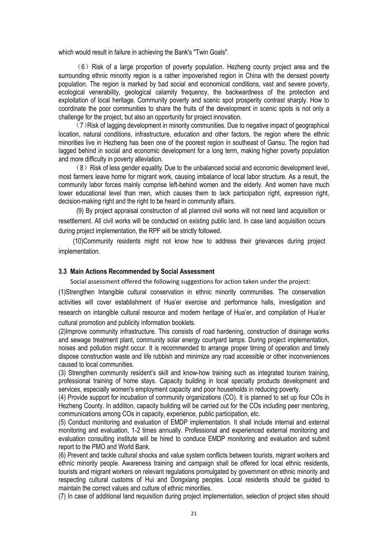which would result in failure in achieving the Bank's "Twin Goals".

(6) Risk of a large proportion of poverty population. Hezheng county project area and the surrounding ethnic minority region is a rather impoverished region in China with the densest poverty population. The region is marked by bad social and economical conditions, vast and severe poverty, ecological venerability, geological calamity frequency, the backwardness of the protection and exploitation of local heritage. Community poverty and scenic spot prosperity contrast sharply. How to coordinate the poor communities to share the fruits of the development in scenic spots is not only a challenge for the project, but also an opportunity for project innovation.

(7)Risk of lagging development in minority communities. Due to negative impact of geographical location, natural conditions, infrastructure, education and other factors, the region where the ethnic minorities live in Hezheng has been one of the poorest region in southeast of Gansu. The region had lagged behind in social and economic development for a long term, making higher poverty population and more difficulty in poverty alleviation.

(8) Risk of less gender equality. Due to the unbalanced social and economic development level, most farmers leave home for migrant work, causing imbalance of local labor structure. As a result, the community labor forces mainly comprise left-behind women and the elderly. And women have much lower educational level than men, which causes them to lack participation right, expression right, decision-making right and the right to be heard in community affairs.

(9) By project appraisal construction of all planned civil works will not need land acquisition or resettlement. All civil works will be conducted on existing public land. In case land acquisition occurs during project implementation, the RPF will be strictly followed.

(10)Community residents might not know how to address their grievances during project implementation.

### **3.3 Main Actions Recommended by Social Assessment**

Social assessment offered the following suggestions for action taken under the project:

(1)Strengthen Intangible cultural conservation in ethnic minority communities. The conservation activities will cover establishment of Hua'er exercise and performance halls, investigation and research on intangible cultural resource and modern heritage of Hua'er, and compilation of Hua'er cultural promotion and publicity information booklets.

(2)Improve community infrastructure. This consists of road hardening, construction of drainage works and sewage treatment plant, community solar energy courtyard lamps. During project implementation, noises and pollution might occur. It is recommended to arrange proper timing of operation and timely dispose construction waste and life rubbish and minimize any road accessible or other inconveniences caused to local communities.

(3) Strengthen community resident's skill and know-how training such as integrated tourism training, professional training of home stays. Capacity building in local specialty products development and services, especially women's employment capacity and poor households in reducing poverty.

(4) Provide support for incubation of community organizations (CO). It is planned to set up four COs in Hezheng County. In addition, capacity building will be carried out for the COs including peer mentoring, communications among COs in capacity, experience, public participation, etc.

(5) Conduct monitoring and evaluation of EMDP implementation. It shall include internal and external monitoring and evaluation, 1-2 times annually. Professional and experienced external monitoring and evaluation consulting institute will be hired to conduce EMDP monitoring and evaluation and submit report to the PMO and World Bank.

(6) Prevent and tackle cultural shocks and value system conflicts between tourists, migrant workers and ethnic minority people. Awareness training and campaign shall be offered for local ethnic residents, tourists and migrant workers on relevant regulations promulgated by government on ethnic minority and respecting cultural customs of Hui and Dongxiang peoples. Local residents should be guided to maintain the correct values and culture of ethnic minorities.

(7) In case of additional land requisition during project implementation, selection of project sites should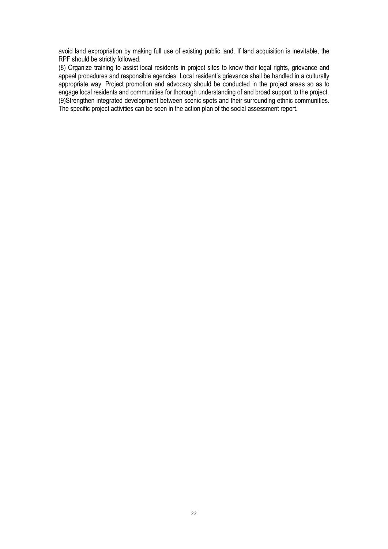avoid land expropriation by making full use of existing public land. If land acquisition is inevitable, the RPF should be strictly followed.

(8) Organize training to assist local residents in project sites to know their legal rights, grievance and appeal procedures and responsible agencies. Local resident's grievance shall be handled in a culturally appropriate way. Project promotion and advocacy should be conducted in the project areas so as to engage local residents and communities for thorough understanding of and broad support to the project. (9)Strengthen integrated development between scenic spots and their surrounding ethnic communities. The specific project activities can be seen in the action plan of the social assessment report.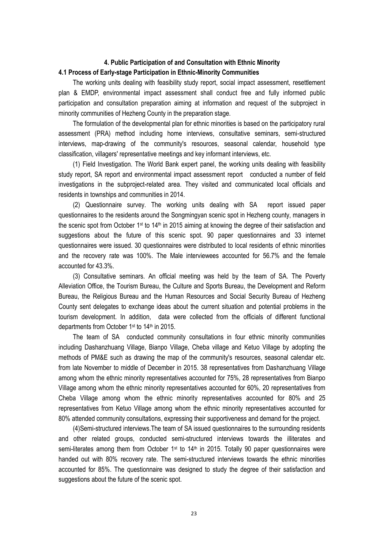## <span id="page-25-1"></span><span id="page-25-0"></span>**4. Public Participation of and Consultation with Ethnic Minority 4.1 Process of Early-stage Participation in Ethnic-Minority Communities**

The working units dealing with feasibility study report, social impact assessment, resettlement plan & EMDP, environmental impact assessment shall conduct free and fully informed public participation and consultation preparation aiming at information and request of the subproject in minority communities of Hezheng County in the preparation stage.

The formulation of the developmental plan for ethnic minorities is based on the participatory rural assessment (PRA) method including home interviews, consultative seminars, semi-structured interviews, map-drawing of the community's resources, seasonal calendar, household type classification, villagers' representative meetings and key informant interviews, etc.

(1) Field Investigation. The World Bank expert panel, the working units dealing with feasibility study report, SA report and environmental impact assessment report conducted a number of field investigations in the subproject-related area. They visited and communicated local officials and residents in townships and communities in 2014.

(2) Questionnaire survey. The working units dealing with SA report issued paper questionnaires to the residents around the Songmingyan scenic spot in Hezheng county, managers in the scenic spot from October 1<sup>st</sup> to 14<sup>th</sup> in 2015 aiming at knowing the degree of their satisfaction and suggestions about the future of this scenic spot. 90 paper questionnaires and 33 internet questionnaires were issued. 30 questionnaires were distributed to local residents of ethnic minorities and the recovery rate was 100%. The Male interviewees accounted for 56.7% and the female accounted for 43.3%.

(3) Consultative seminars. An official meeting was held by the team of SA. The Poverty Alleviation Office, the Tourism Bureau, the Culture and Sports Bureau, the Development and Reform Bureau, the Religious Bureau and the Human Resources and Social Security Bureau of Hezheng County sent delegates to exchange ideas about the current situation and potential problems in the tourism development. In addition, data were collected from the officials of different functional departments from October 1<sup>st</sup> to 14<sup>th</sup> in 2015.

The team of SA conducted community consultations in four ethnic minority communities including Dashanzhuang Village, Bianpo Village, Cheba village and Ketuo Village by adopting the methods of PM&E such as drawing the map of the community's resources, seasonal calendar etc. from late November to middle of December in 2015. 38 representatives from Dashanzhuang Village among whom the ethnic minority representatives accounted for 75%, 28 representatives from Bianpo Village among whom the ethnic minority representatives accounted for 60%, 20 representatives from Cheba Village among whom the ethnic minority representatives accounted for 80% and 25 representatives from Ketuo Village among whom the ethnic minority representatives accounted for 80% attended community consultations, expressing their supportiveness and demand for the project.

(4)Semi-structured interviews.The team of SA issued questionnaires to the surrounding residents and other related groups, conducted semi-structured interviews towards the illiterates and semi-literates among them from October  $1<sup>st</sup>$  to  $14<sup>th</sup>$  in 2015. Totally 90 paper questionnaires were handed out with 80% recovery rate. The semi-structured interviews towards the ethnic minorities accounted for 85%. The questionnaire was designed to study the degree of their satisfaction and suggestions about the future of the scenic spot.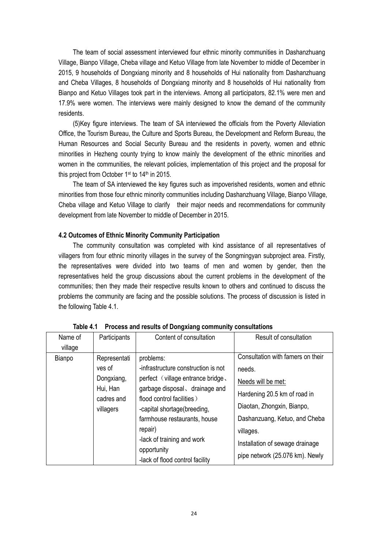The team of social assessment interviewed four ethnic minority communities in Dashanzhuang Village, Bianpo Village, Cheba village and Ketuo Village from late November to middle of December in 2015, 9 households of Dongxiang minority and 8 households of Hui nationality from Dashanzhuang and Cheba Villages, 8 households of Dongxiang minority and 8 households of Hui nationality from Bianpo and Ketuo Villages took part in the interviews. Among all participators, 82.1% were men and 17.9% were women. The interviews were mainly designed to know the demand of the community residents.

(5)Key figure interviews. The team of SA interviewed the officials from the Poverty Alleviation Office, the Tourism Bureau, the Culture and Sports Bureau, the Development and Reform Bureau, the Human Resources and Social Security Bureau and the residents in poverty, women and ethnic minorities in Hezheng county trying to know mainly the development of the ethnic minorities and women in the communities, the relevant policies, implementation of this project and the proposal for this project from October 1<sup>st</sup> to 14<sup>th</sup> in 2015.

The team of SA interviewed the key figures such as impoverished residents, women and ethnic minorities from those four ethnic minority communities including Dashanzhuang Village, Bianpo Village, Cheba village and Ketuo Village to clarify their major needs and recommendations for community development from late November to middle of December in 2015.

## <span id="page-26-0"></span>**4.2 Outcomes of Ethnic Minority Community Participation**

The community consultation was completed with kind assistance of all representatives of villagers from four ethnic minority villages in the survey of the Songmingyan subproject area. Firstly, the representatives were divided into two teams of men and women by gender, then the representatives held the group discussions about the current problems in the development of the communities; then they made their respective results known to others and continued to discuss the problems the community are facing and the possible solutions. The process of discussion is listed in the following Table 4.1.

| Name of<br>village | Participants                                                                | Content of consultation                                                                                                                                                                                                                                                                                        | Result of consultation                                                                                                                                                                                                                              |
|--------------------|-----------------------------------------------------------------------------|----------------------------------------------------------------------------------------------------------------------------------------------------------------------------------------------------------------------------------------------------------------------------------------------------------------|-----------------------------------------------------------------------------------------------------------------------------------------------------------------------------------------------------------------------------------------------------|
| Bianpo             | Representati<br>ves of<br>Dongxiang,<br>Hui, Han<br>cadres and<br>villagers | problems:<br>-infrastructure construction is not<br>perfect (village entrance bridge,<br>garbage disposal, drainage and<br>flood control facilities)<br>-capital shortage(breeding,<br>farmhouse restaurants, house<br>repair)<br>-lack of training and work<br>opportunity<br>-lack of flood control facility | Consultation with famers on their<br>needs.<br>Needs will be met:<br>Hardening 20.5 km of road in<br>Diaotan, Zhongxin, Bianpo,<br>Dashanzuang, Ketuo, and Cheba<br>villages.<br>Installation of sewage drainage<br>pipe network (25.076 km). Newly |

**Table 4.1 Process and results of Dongxiang community consultations**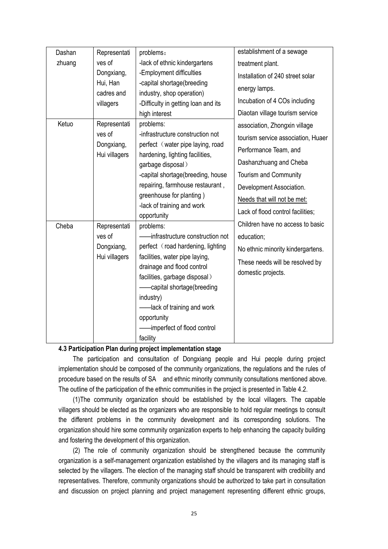| Dashan<br>zhuang | Representati<br>ves of<br>Dongxiang,<br>Hui, Han<br>cadres and<br>villagers | problems:<br>-lack of ethnic kindergartens<br>-Employment difficulties<br>-capital shortage(breeding<br>industry, shop operation)<br>-Difficulty in getting loan and its<br>high interest                                                                                                                             | establishment of a sewage<br>treatment plant.<br>Installation of 240 street solar<br>energy lamps.<br>Incubation of 4 COs including<br>Diaotan village tourism service                                                                          |
|------------------|-----------------------------------------------------------------------------|-----------------------------------------------------------------------------------------------------------------------------------------------------------------------------------------------------------------------------------------------------------------------------------------------------------------------|-------------------------------------------------------------------------------------------------------------------------------------------------------------------------------------------------------------------------------------------------|
| Ketuo            | Representati<br>ves of<br>Dongxiang,<br>Hui villagers                       | problems:<br>-infrastructure construction not<br>perfect (water pipe laying, road<br>hardening, lighting facilities,<br>garbage disposal)<br>-capital shortage(breeding, house<br>repairing, farmhouse restaurant,<br>greenhouse for planting)<br>-lack of training and work<br>opportunity                           | association, Zhongxin village<br>tourism service association, Huaer<br>Performance Team, and<br>Dashanzhuang and Cheba<br>Tourism and Community<br>Development Association.<br>Needs that will not be met:<br>Lack of flood control facilities; |
| Cheba            | Representati<br>ves of<br>Dongxiang,<br>Hui villagers                       | problems:<br>infrastructure construction not<br>perfect (road hardening, lighting<br>facilities, water pipe laying,<br>drainage and flood control<br>facilities, garbage disposal)<br>-capital shortage(breeding<br>industry)<br>-lack of training and work<br>opportunity<br>-imperfect of flood control<br>facility | Children have no access to basic<br>education;<br>No ethnic minority kindergartens.<br>These needs will be resolved by<br>domestic projects.                                                                                                    |

## <span id="page-27-0"></span>**4.3 Participation Plan during project implementation stage**

The participation and consultation of Dongxiang people and Hui people during project implementation should be composed of the community organizations, the regulations and the rules of procedure based on the results of SA and ethnic minority community consultations mentioned above. The outline of the participation of the ethnic communities in the project is presented in Table 4.2.

(1)The community organization should be established by the local villagers. The capable villagers should be elected as the organizers who are responsible to hold regular meetings to consult the different problems in the community development and its corresponding solutions. The organization should hire some community organization experts to help enhancing the capacity building and fostering the development of this organization.

(2) The role of community organization should be strengthened because the community organization is a self-management organization established by the villagers and its managing staff is selected by the villagers. The election of the managing staff should be transparent with credibility and representatives. Therefore, community organizations should be authorized to take part in consultation and discussion on project planning and project management representing different ethnic groups,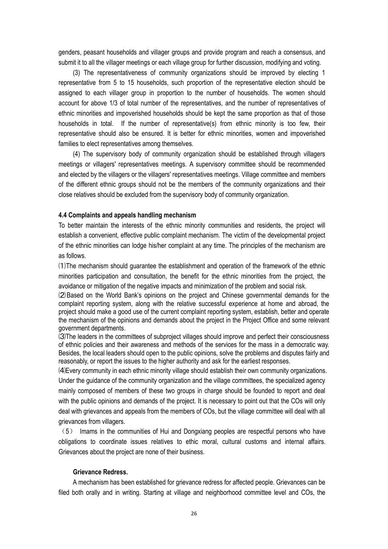genders, peasant households and villager groups and provide program and reach a consensus, and submit it to all the villager meetings or each village group for further discussion, modifying and voting.

(3) The representativeness of community organizations should be improved by electing 1 representative from 5 to 15 households, such proportion of the representative election should be assigned to each villager group in proportion to the number of households. The women should account for above 1/3 of total number of the representatives, and the number of representatives of ethnic minorities and impoverished households should be kept the same proportion as that of those households in total. If the number of representative(s) from ethnic minority is too few, their representative should also be ensured. It is better for ethnic minorities, women and impoverished families to elect representatives among themselves.

(4) The supervisory body of community organization should be established through villagers meetings or villagers' representatives meetings. A supervisory committee should be recommended and elected by the villagers or the villagers' representatives meetings. Village committee and members of the different ethnic groups should not be the members of the community organizations and their close relatives should be excluded from the supervisory body of community organization.

## **4.4 Complaints and appeals handling mechanism**

To better maintain the interests of the ethnic minority communities and residents, the project will establish a convenient, effective public complaint mechanism. The victim of the developmental project of the ethnic minorities can [lodge](file:///C:/Users/wb371432/AppData/Administrator/AppData/Local/Yodao/DeskDict/frame/20160111203412/javascript:void(0);) his/her [complaint](file:///C:/Users/wb371432/AppData/Administrator/AppData/Local/Yodao/DeskDict/frame/20160111203412/javascript:void(0);) at any time. The principles of the mechanism are as follows.

⑴The mechanism should guarantee the establishment and operation of the framework of the ethnic minorities participation and consultation, the benefit for the ethnic minorities from the project, the avoidance or mitigation of the negative impacts and minimization of the problem and social risk.

⑵Based on the World Bank's opinions on the project and Chinese governmental demands for the complaint reporting system, along with the relative successful experience at home and abroad, the project should make a good use of the current complaint reporting system, establish, better and operate the mechanism of the opinions and demands about the project in the Project Office and some relevant government departments.

⑶The leaders in the committees of subproject villages should improve and perfect their consciousness of ethnic policies and their awareness and methods of the services for the mass in a democratic way. Besides, the local leaders should open to the public opinions, solve the problems and disputes fairly and reasonably, or report the issues to the higher authority and ask for the earliest responses.

⑷Every community in each ethnic minority village should establish their own community organizations.

Under the guidance of the community organization and the village committees, the specialized agency mainly composed of members of these two groups in charge should be founded to report and deal with the public opinions and demands of the project. It is necessary to point out that the COs will only deal with grievances and appeals from the members of COs, but the village committee will deal with all grievances from villagers.

(5) Imams in the communities of Hui and Dongxiang peoples are respectful persons who have obligations to coordinate issues relatives to ethic moral, cultural customs and internal affairs. Grievances about the project are none of their business.

## **Grievance Redress.**

A mechanism has been established for grievance redress for affected people. Grievances can be filed both orally and in writing. Starting at village and neighborhood committee level and COs, the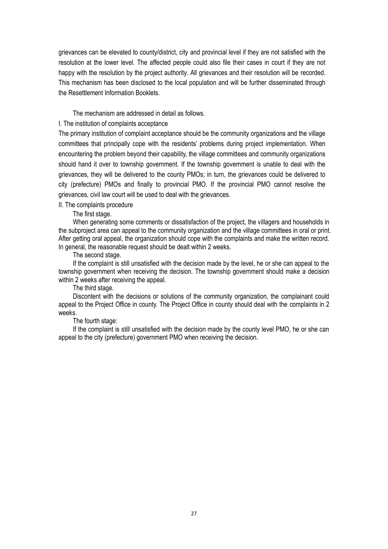grievances can be elevated to county/district, city and provincial level if they are not satisfied with the resolution at the lower level. The affected people could also file their cases in court if they are not happy with the resolution by the project authority. All grievances and their resolution will be recorded. This mechanism has been disclosed to the local population and will be further disseminated through the Resettlement Information Booklets.

The mechanism are addressed in detail as follows.

#### I. The institution of complaints acceptance

The primary institution of complaint acceptance should be the community organizations and the village committees that principally cope with the residents' problems during project implementation. When encountering the problem beyond their capability, the village committees and community organizations should hand it over to township government. If the township government is unable to deal with the grievances, they will be delivered to the county PMOs; in turn, the grievances could be delivered to city (prefecture) PMOs and finally to provincial PMO. If the provincial PMO cannot resolve the grievances, civil law court will be used to deal with the grievances.

II. The complaints procedure

The first stage.

When generating some comments or dissatisfaction of the project, the villagers and households in the subproject area can appeal to the community organization and the village committees in oral or print. After getting oral appeal, the organization should cope with the complaints and make the written record. In general, the reasonable request should be dealt within 2 weeks.

The second stage.

If the complaint is still unsatisfied with the decision made by the level, he or she can appeal to the township government when receiving the decision. The township government should make a decision within 2 weeks after receiving the appeal.

The third stage.

Discontent with the decisions or solutions of the community organization, the complainant could appeal to the Project Office in county. The Project Office in county should deal with the complaints in 2 weeks.

The fourth stage:

If the complaint is still unsatisfied with the decision made by the county level PMO, he or she can appeal to the city (prefecture) government PMO when receiving the decision.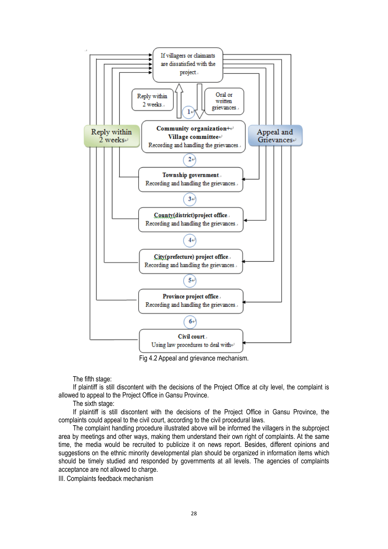

Fig 4.2 Appeal and grievance mechanism.

The fifth stage:

If plaintiff is still discontent with the decisions of the Project Office at city level, the complaint is allowed to appeal to the Project Office in Gansu Province.

The sixth stage:

If plaintiff is still discontent with the decisions of the Project Office in Gansu Province, the complaints could appeal to the civil court, according to the civil procedural laws.

The complaint handling procedure illustrated above will be informed the villagers in the subproject area by meetings and other ways, making them understand their own right of complaints. At the same time, the media would be recruited to publicize it on news report. Besides, different opinions and suggestions on the ethnic minority developmental plan should be organized in information items which should be timely studied and responded by governments at all levels. The agencies of complaints acceptance are not allowed to charge.

III. Complaints feedback mechanism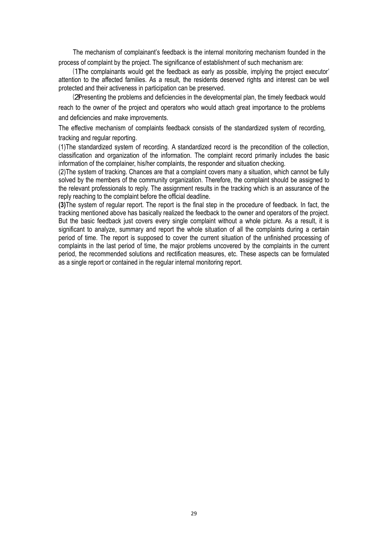The mechanism of complainant's feedback is the internal monitoring mechanism founded in the process of complaint by the project. The significance of establishment of such mechanism are:

⑴The complainants would get the feedback as early as possible, implying the project executor' attention to the affected families. As a result, the residents deserved rights and interest can be well protected and their activeness in participation can be preserved.

⑵Presenting the problems and deficiencies in the developmental plan, the timely feedback would reach to the owner of the project and operators who would attach great importance to the problems and deficiencies and make improvements.

The effective mechanism of complaints feedback consists of the standardized system of recording, tracking and regular reporting.

(1)The standardized system of recording. A standardized record is the precondition of the collection, classification and organization of the information. The complaint record primarily includes the basic information of the complainer, his/her complaints, the responder and situation checking.

(2)The system of tracking. Chances are that a complaint covers many a situation, which cannot be fully solved by the members of the community organization. Therefore, the complaint should be assigned to the relevant professionals to reply. The assignment results in the tracking which is an assurance of the reply reaching to the complaint before the official deadline.

**(3)**The system of regular report. The report is the final step in the procedure of feedback. In fact, the tracking mentioned above has basically realized the feedback to the owner and operators of the project. But the basic feedback just covers every single complaint without a whole picture. As a result, it is significant to analyze, summary and report the whole situation of all the complaints during a certain period of time. The report is supposed to cover the current situation of the unfinished processing of complaints in the last period of time, the major problems uncovered by the complaints in the current period, the recommended solutions and rectification measures, etc. These aspects can be formulated as a single report or contained in the regular internal monitoring report.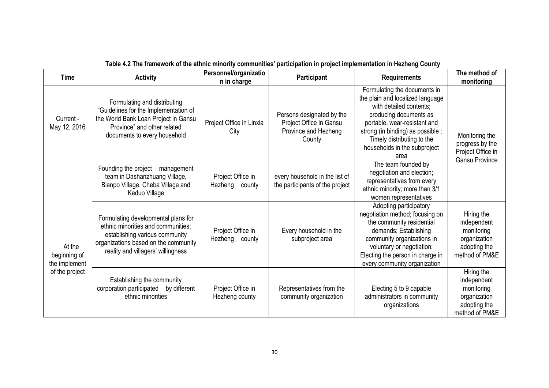| <b>Time</b>                             | <b>Activity</b>                                                                                                                                                                           | Personnel/organizatio<br>n in charge | Participant                                                                            | <b>Requirements</b>                                                                                                                                                                                                                                             | The method of<br>monitoring                                                               |  |
|-----------------------------------------|-------------------------------------------------------------------------------------------------------------------------------------------------------------------------------------------|--------------------------------------|----------------------------------------------------------------------------------------|-----------------------------------------------------------------------------------------------------------------------------------------------------------------------------------------------------------------------------------------------------------------|-------------------------------------------------------------------------------------------|--|
| Current -<br>May 12, 2016               | Formulating and distributing<br>"Guidelines for the Implementation of<br>the World Bank Loan Project in Gansu<br>Province" and other related<br>documents to every household              | Project Office in Linxia<br>City     | Persons designated by the<br>Project Office in Gansu<br>Province and Hezheng<br>County | Formulating the documents in<br>the plain and localized language<br>with detailed contents:<br>producing documents as<br>portable, wear-resistant and<br>strong (in binding) as possible;<br>Timely distributing to the<br>households in the subproject<br>area | Monitoring the<br>progress by the<br>Project Office in<br><b>Gansu Province</b>           |  |
|                                         | Founding the project<br>management<br>team in Dashanzhuang Village,<br>Bianpo Village, Cheba Village and<br>Keduo Village                                                                 | Project Office in<br>Hezheng county  | every household in the list of<br>the participants of the project                      | The team founded by<br>negotiation and election;<br>representatives from every<br>ethnic minority; more than 3/1<br>women representatives                                                                                                                       |                                                                                           |  |
| At the<br>beginning of<br>the implement | Formulating developmental plans for<br>ethnic minorities and communities:<br>establishing various community<br>organizations based on the community<br>reality and villagers' willingness | Project Office in<br>Hezheng county  | Every household in the<br>subproject area                                              | Adopting participatory<br>negotiation method; focusing on<br>the community residential<br>demands; Establishing<br>community organizations in<br>voluntary or negotiation;<br>Electing the person in charge in<br>every community organization                  | Hiring the<br>independent<br>monitoring<br>organization<br>adopting the<br>method of PM&E |  |
| of the project                          | Establishing the community<br>corporation participated by different<br>ethnic minorities                                                                                                  | Project Office in<br>Hezheng county  | Representatives from the<br>community organization                                     | Electing 5 to 9 capable<br>administrators in community<br>organizations                                                                                                                                                                                         | Hiring the<br>independent<br>monitoring<br>organization<br>adopting the<br>method of PM&E |  |

## **Table 4.2 The framework of the ethnic minority communities' participation in project implementation in Hezheng County**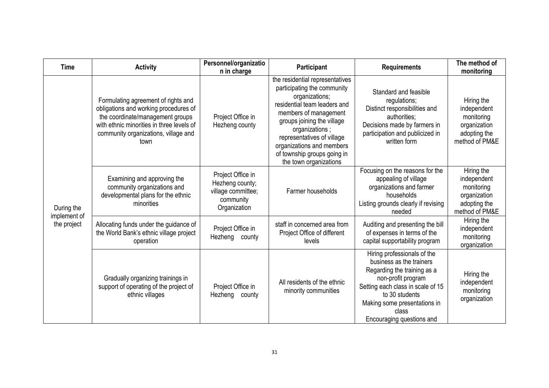| <b>Time</b>                               | <b>Activity</b>                                                                                                                                                                                               | Personnel/organizatio<br>n in charge                                                    | Participant                                                                                                                                                                                                                                                                                                   | <b>Requirements</b>                                                                                                                                                                                                                       | The method of<br>monitoring                                                               |
|-------------------------------------------|---------------------------------------------------------------------------------------------------------------------------------------------------------------------------------------------------------------|-----------------------------------------------------------------------------------------|---------------------------------------------------------------------------------------------------------------------------------------------------------------------------------------------------------------------------------------------------------------------------------------------------------------|-------------------------------------------------------------------------------------------------------------------------------------------------------------------------------------------------------------------------------------------|-------------------------------------------------------------------------------------------|
| During the<br>implement of<br>the project | Formulating agreement of rights and<br>obligations and working procedures of<br>the coordinate/management groups<br>with ethnic minorities in three levels of<br>community organizations, village and<br>town | Project Office in<br>Hezheng county                                                     | the residential representatives<br>participating the community<br>organizations;<br>residential team leaders and<br>members of management<br>groups joining the village<br>organizations;<br>representatives of village<br>organizations and members<br>of township groups going in<br>the town organizations | Standard and feasible<br>regulations;<br>Distinct responsibilities and<br>authorities;<br>Decisions made by farmers in<br>participation and publicized in<br>written form                                                                 | Hiring the<br>independent<br>monitoring<br>organization<br>adopting the<br>method of PM&E |
|                                           | Examining and approving the<br>community organizations and<br>developmental plans for the ethnic<br>minorities                                                                                                | Project Office in<br>Hezheng county;<br>village committee;<br>community<br>Organization | Farmer households                                                                                                                                                                                                                                                                                             | Focusing on the reasons for the<br>appealing of village<br>organizations and farmer<br>households<br>Listing grounds clearly if revising<br>needed                                                                                        | Hiring the<br>independent<br>monitoring<br>organization<br>adopting the<br>method of PM&E |
|                                           | Allocating funds under the guidance of<br>the World Bank's ethnic village project<br>operation                                                                                                                | Project Office in<br>Hezheng<br>county                                                  | staff in concerned area from<br>Project Office of different<br>levels                                                                                                                                                                                                                                         | Auditing and presenting the bill<br>of expenses in terms of the<br>capital supportability program                                                                                                                                         | Hiring the<br>independent<br>monitoring<br>organization                                   |
|                                           | Gradually organizing trainings in<br>support of operating of the project of<br>ethnic villages                                                                                                                | Project Office in<br>Hezheng<br>county                                                  | All residents of the ethnic<br>minority communities                                                                                                                                                                                                                                                           | Hiring professionals of the<br>business as the trainers<br>Regarding the training as a<br>non-profit program<br>Setting each class in scale of 15<br>to 30 students<br>Making some presentations in<br>class<br>Encouraging questions and | Hiring the<br>independent<br>monitoring<br>organization                                   |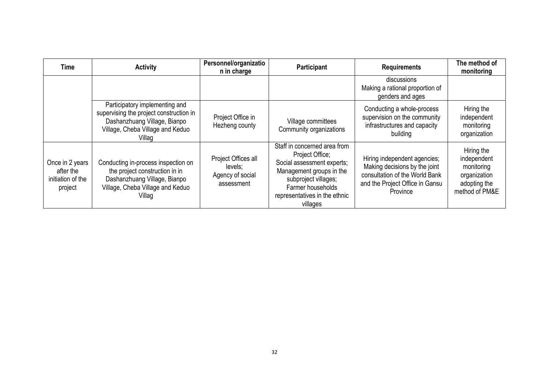| Time                                                         | <b>Activity</b>                                                                                                                                         | Personnel/organizatio<br>n in charge                             | Participant                                                                                                                                                                                         | <b>Requirements</b>                                                                                                                            | The method of<br>monitoring                                                               |
|--------------------------------------------------------------|---------------------------------------------------------------------------------------------------------------------------------------------------------|------------------------------------------------------------------|-----------------------------------------------------------------------------------------------------------------------------------------------------------------------------------------------------|------------------------------------------------------------------------------------------------------------------------------------------------|-------------------------------------------------------------------------------------------|
|                                                              |                                                                                                                                                         |                                                                  |                                                                                                                                                                                                     | discussions<br>Making a rational proportion of<br>genders and ages                                                                             |                                                                                           |
|                                                              | Participatory implementing and<br>supervising the project construction in<br>Dashanzhuang Village, Bianpo<br>Village, Cheba Village and Keduo<br>Villag | Project Office in<br>Hezheng county                              | Village committees<br>Community organizations                                                                                                                                                       | Conducting a whole-process<br>supervision on the community<br>infrastructures and capacity<br>building                                         | Hiring the<br>independent<br>monitoring<br>organization                                   |
| Once in 2 years<br>after the<br>initiation of the<br>project | Conducting in-process inspection on<br>the project construction in in<br>Dashanzhuang Village, Bianpo<br>Village, Cheba Village and Keduo<br>Villag     | Project Offices all<br>levels;<br>Agency of social<br>assessment | Staff in concerned area from<br>Project Office;<br>Social assessment experts;<br>Management groups in the<br>subproject villages;<br>Farmer households<br>representatives in the ethnic<br>villages | Hiring independent agencies;<br>Making decisions by the joint<br>consultation of the World Bank<br>and the Project Office in Gansu<br>Province | Hiring the<br>independent<br>monitoring<br>organization<br>adopting the<br>method of PM&E |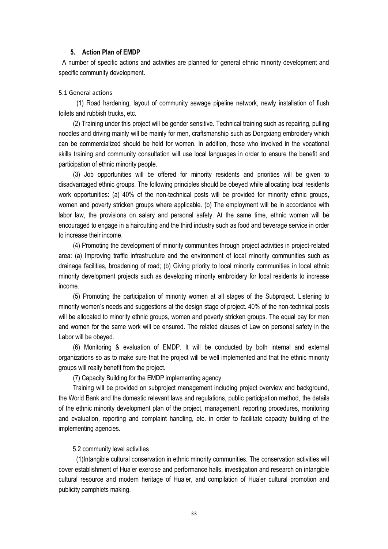## <span id="page-35-1"></span>**5. Action Plan of EMDP**

<span id="page-35-0"></span>A number of specific actions and activities are planned for general ethnic minority development and specific community development.

#### 5.1 General actions

(1) Road hardening, layout of community sewage pipeline network, newly installation of flush toilets and rubbish trucks, etc.

(2) Training under this project will be gender sensitive. Technical training such as repairing, pulling noodles and driving mainly will be mainly for men, craftsmanship such as Dongxiang embroidery which can be commercialized should be held for women. In addition, those who involved in the vocational skills training and community consultation will use local languages in order to ensure the benefit and participation of ethnic minority people.

(3) Job opportunities will be offered for minority residents and priorities will be given to disadvantaged ethnic groups. The following principles should be obeyed while allocating local residents work opportunities: (a) 40% of the non-technical posts will be provided for minority ethnic groups, women and poverty stricken groups where applicable. (b) The employment will be in accordance with labor law, the provisions on salary and personal safety. At the same time, ethnic women will be encouraged to engage in a haircutting and the third industry such as food and beverage service in order to increase their income.

(4) Promoting the development of minority communities through project activities in project-related area: (a) Improving traffic infrastructure and the environment of local minority communities such as drainage facilities, broadening of road; (b) Giving priority to local minority communities in local ethnic minority development projects such as developing minority embroidery for local residents to increase income.

(5) Promoting the participation of minority women at all stages of the Subproject. Listening to minority women's needs and suggestions at the design stage of project. 40% of the non-technical posts will be allocated to minority ethnic groups, women and poverty stricken groups. The equal pay for men and women for the same work will be ensured. The related clauses of Law on personal safety in the Labor will be obeyed.

(6) Monitoring & evaluation of EMDP. It will be conducted by both internal and external organizations so as to make sure that the project will be well implemented and that the ethnic minority groups will really benefit from the project.

## (7) Capacity Building for the EMDP implementing agency

Training will be provided on subproject management including project overview and background, the World Bank and the domestic relevant laws and regulations, public participation method, the details of the ethnic minority development plan of the project, management, reporting procedures, monitoring and evaluation, reporting and complaint handling, etc. in order to facilitate capacity building of the implementing agencies.

## 5.2 community level activities

(1)Intangible cultural conservation in ethnic minority communities. The conservation activities will cover establishment of Hua'er exercise and performance halls, investigation and research on intangible cultural resource and modern heritage of Hua'er, and compilation of Hua'er cultural promotion and publicity pamphlets making.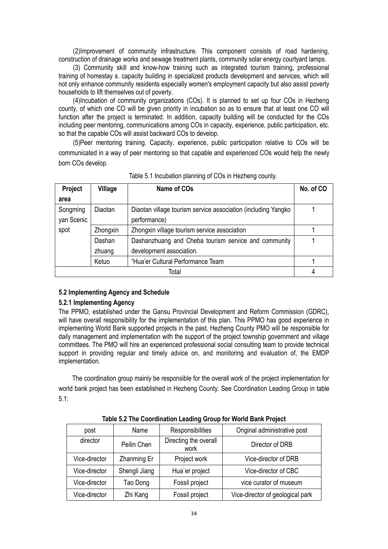(2)Improvement of community infrastructure. This component consists of road hardening, construction of drainage works and sewage treatment plants, community solar energy courtyard lamps.

 (3) Community skill and know-how training such as integrated tourism training, professional training of homestay s. capacity building in specialized products development and services, which will not only enhance community residents especially women's employment capacity but also assist poverty households to lift themselves out of poverty.

 (4)Incubation of community organizations (COs). It is planned to set up four COs in Hezheng county, of which one CO will be given priority in incubation so as to ensure that at least one CO will function after the project is terminated. In addition, capacity building will be conducted for the COs including peer mentoring, communications among COs in capacity, experience, public participation, etc. so that the capable COs will assist backward COs to develop.

(5)Peer mentoring training. Capacity, experience, public participation relative to COs will be communicated in a way of peer mentoring so that capable and experienced COs would help the newly born COs develop.

| Project    | Name of COs<br>Village |                                                               |  |  |
|------------|------------------------|---------------------------------------------------------------|--|--|
| area       |                        |                                                               |  |  |
| Songming   | Diaotan                | Diaotan village tourism service association (including Yangko |  |  |
| yan Scenic |                        | performance)                                                  |  |  |
| spot       | Zhongxin               | Zhongxin village tourism service association                  |  |  |
|            | Dashan                 | Dashanzhuang and Cheba tourism service and community          |  |  |
|            | zhuang                 | development association.                                      |  |  |
|            | Ketuo                  | "Hua'er Cultural Performance Team                             |  |  |
|            |                        | Total                                                         |  |  |

Table 5.1 Incubation planning of COs in Hezheng county.

## <span id="page-36-0"></span>**5.2 Implementing Agency and Schedule**

## <span id="page-36-1"></span>**5.2.1 Implementing Agency**

The PPMO, established under the Gansu Provincial Development and Reform Commission (GDRC), will have overall responsibility for the implementation of this plan. This PPMO has good experience in implementing World Bank supported projects in the past. Hezheng County PMO will be responsible for daily management and implementation with the support of the project township government and village committees. The PMO will hire an experienced professional social consulting team to provide technical support in providing regular and timely advice on, and monitoring and evaluation of, the EMDP implementation.

The coordination group mainly be responsible for the overall work of the project implementation for world bank project has been established in Hezheng County. See Coordination Leading Group in table 5.1:

| post          | Name          | Responsibilities              | Original administrative post     |
|---------------|---------------|-------------------------------|----------------------------------|
| director      | Peilin Chen   | Directing the overall<br>work | Director of DRB                  |
| Vice-director | Zhanming Er   | Project work                  | Vice-director of DRB             |
| Vice-director | Shengli Jiang | Hua'er project                | Vice-director of CBC             |
| Vice-director | Tao Dong      | Fossil project                | vice curator of museum           |
| Vice-director | Zhi Kang      | Fossil project                | Vice-director of geological park |

**Table 5.2 The Coordination Leading Group for World Bank Project**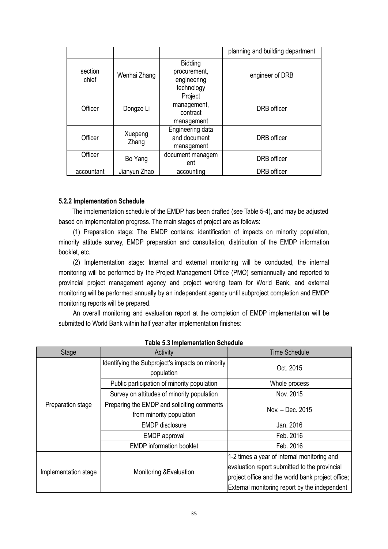|                             |              |                                                             | planning and building department |
|-----------------------------|--------------|-------------------------------------------------------------|----------------------------------|
| section<br>chief            | Wenhai Zhang | <b>Bidding</b><br>procurement,<br>engineering<br>technology | engineer of DRB                  |
| Officer                     | Dongze Li    | Project<br>management,<br>contract<br>management            | DRB officer                      |
| Xuepeng<br>Officer<br>Zhang |              | Engineering data<br>and document<br>management              | DRB officer                      |
| Officer                     | Bo Yang      | document managem<br>ent                                     | DRB officer                      |
| accountant                  | Jianyun Zhao | accounting                                                  | DRB officer                      |

## <span id="page-37-0"></span>**5.2.2 Implementation Schedule**

The implementation schedule of the EMDP has been drafted (see Table 5-4), and may be adjusted based on implementation progress. The main stages of project are as follows:

(1) Preparation stage: The EMDP contains: identification of impacts on minority population, minority attitude survey, EMDP preparation and consultation, distribution of the EMDP information booklet, etc.

(2) Implementation stage: Internal and external monitoring will be conducted, the internal monitoring will be performed by the Project Management Office (PMO) semiannually and reported to provincial project management agency and project working team for World Bank, and external monitoring will be performed annually by an independent agency until subproject completion and EMDP monitoring reports will be prepared.

An overall monitoring and evaluation report at the completion of EMDP implementation will be submitted to World Bank within half year after implementation finishes:

| Stage                | Activity                                                       | Time Schedule                                     |  |
|----------------------|----------------------------------------------------------------|---------------------------------------------------|--|
|                      | Identifying the Subproject's impacts on minority<br>population | Oct. 2015                                         |  |
|                      | Public participation of minority population                    | Whole process                                     |  |
|                      | Survey on attitudes of minority population                     | Nov. 2015                                         |  |
| Preparation stage    | Preparing the EMDP and soliciting comments                     | Nov. $-$ Dec. 2015                                |  |
|                      | from minority population                                       |                                                   |  |
|                      | <b>EMDP</b> disclosure                                         | Jan. 2016                                         |  |
|                      | <b>EMDP</b> approval                                           | Feb. 2016                                         |  |
|                      | <b>EMDP</b> information booklet                                | Feb. 2016                                         |  |
|                      |                                                                | 1-2 times a year of internal monitoring and       |  |
| Implementation stage | Monitoring & Evaluation                                        | evaluation report submitted to the provincial     |  |
|                      |                                                                | project office and the world bank project office; |  |
|                      |                                                                | External monitoring report by the independent     |  |

## **Table 5.3 Implementation Schedule**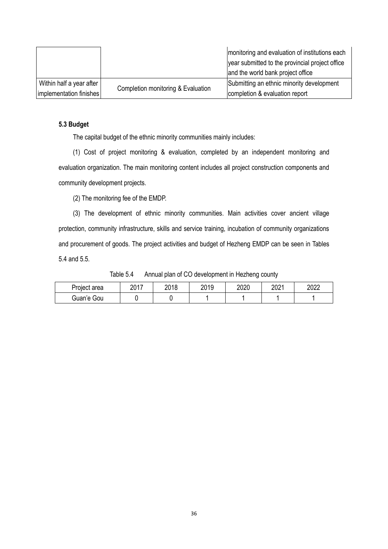|                          |                                    | monitoring and evaluation of institutions each  |
|--------------------------|------------------------------------|-------------------------------------------------|
|                          |                                    | year submitted to the provincial project office |
|                          |                                    | and the world bank project office               |
| Within half a year after | Completion monitoring & Evaluation | Submitting an ethnic minority development       |
| implementation finishes  |                                    | completion & evaluation report                  |

## <span id="page-38-0"></span>**5.3 Budget**

The capital budget of the ethnic minority communities mainly includes:

(1) Cost of project monitoring & evaluation, completed by an independent monitoring and evaluation organization. The main monitoring content includes all project construction components and community development projects.

(2) The monitoring fee of the EMDP.

(3) The development of ethnic minority communities. Main activities cover ancient village protection, community infrastructure, skills and service training, incubation of community organizations and procurement of goods. The project activities and budget of Hezheng EMDP can be seen in Tables 5.4 and 5.5.

Table 5.4 Annual plan of CO development in Hezheng county

| Proiect area | 2017 | 2018 | 2019 | 2020 | 2021 | 2022 |
|--------------|------|------|------|------|------|------|
| Guan'e Gou   |      |      |      |      |      |      |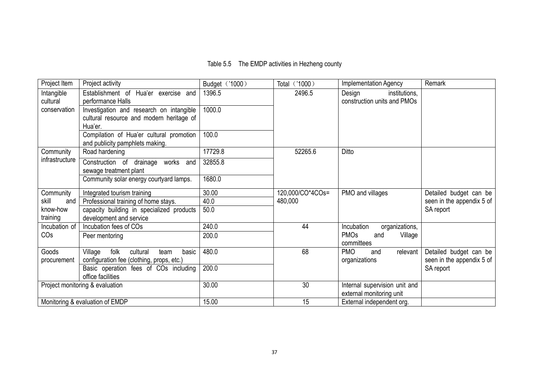## Table 5.5 The EMDP activities in Hezheng county

| Project Item                    | Project activity                             | Budget ('1000) | Total ('1000)                       | <b>Implementation Agency</b>  | Remark                    |
|---------------------------------|----------------------------------------------|----------------|-------------------------------------|-------------------------------|---------------------------|
| Intangible                      | Establishment of Hua'er exercise and         | 1396.5         | 2496.5                              | Design<br>institutions,       |                           |
| cultural                        | performance Halls                            |                |                                     | construction units and PMOs   |                           |
| conservation                    | Investigation and research on intangible     | 1000.0         |                                     |                               |                           |
|                                 | cultural resource and modern heritage of     |                |                                     |                               |                           |
|                                 | Hua'er.                                      |                |                                     |                               |                           |
|                                 | Compilation of Hua'er cultural promotion     | 100.0          |                                     |                               |                           |
|                                 | and publicity pamphlets making.              |                |                                     |                               |                           |
| Community                       | Road hardening                               | 17729.8        | 52265.6                             | Ditto                         |                           |
| infrastructure                  | Construction of drainage<br>works and        | 32855.8        |                                     |                               |                           |
|                                 | sewage treatment plant                       |                |                                     |                               |                           |
|                                 | Community solar energy courtyard lamps.      | 1680.0         |                                     |                               |                           |
|                                 |                                              |                |                                     |                               |                           |
| Community                       | Integrated tourism training                  | 30.00          | 120,000/CO*4COs=                    | PMO and villages              | Detailed budget can be    |
| skill<br>and                    | Professional training of home stays.         | 40.0           | 480,000                             |                               | seen in the appendix 5 of |
| know-how                        | capacity building in specialized products    | 50.0           |                                     |                               | SA report                 |
| training                        | development and service                      |                |                                     |                               |                           |
| Incubation of                   | Incubation fees of COs                       | 240.0          | 44                                  | Incubation<br>organizations,  |                           |
| CO <sub>s</sub>                 | Peer mentoring                               | 200.0          |                                     | <b>PMOs</b><br>Village<br>and |                           |
|                                 |                                              |                |                                     | committees                    |                           |
| Goods                           | folk<br>Village<br>cultural<br>team<br>basic | 480.0          | 68                                  | <b>PMO</b><br>relevant<br>and | Detailed budget can be    |
| procurement                     | configuration fee (clothing, props, etc.)    |                |                                     | organizations                 | seen in the appendix 5 of |
|                                 | Basic operation fees of COs including        | 200.0          |                                     |                               | SA report                 |
|                                 | office facilities                            |                |                                     |                               |                           |
|                                 | Project monitoring & evaluation              | 30.00          | 30<br>Internal supervision unit and |                               |                           |
|                                 |                                              |                |                                     | external monitoring unit      |                           |
| Monitoring & evaluation of EMDP |                                              | 15.00          | 15                                  | External independent org.     |                           |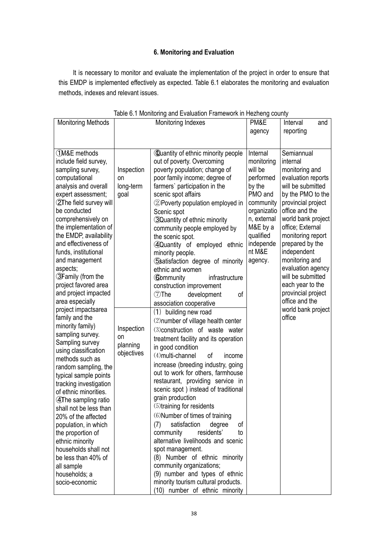## **6. Monitoring and Evaluation**

<span id="page-40-1"></span><span id="page-40-0"></span>It is necessary to monitor and evaluate the implementation of the project in order to ensure that this EMDP is implemented effectively as expected. Table 6.1 elaborates the monitoring and evaluation methods, indexes and relevant issues.

|                                                                                                                                                                                                                                                                                                                                                                                                                                                                         |                                            | rapid 0.1 monitoring and Evaluation Framework in Hoznong County                                                                                                                                                                                                                                                                                                                                                                                                                                                                                                                                                                                                                                                                                         |                                                                                                                                                      |                                                                                                                                                                                                                                    |
|-------------------------------------------------------------------------------------------------------------------------------------------------------------------------------------------------------------------------------------------------------------------------------------------------------------------------------------------------------------------------------------------------------------------------------------------------------------------------|--------------------------------------------|---------------------------------------------------------------------------------------------------------------------------------------------------------------------------------------------------------------------------------------------------------------------------------------------------------------------------------------------------------------------------------------------------------------------------------------------------------------------------------------------------------------------------------------------------------------------------------------------------------------------------------------------------------------------------------------------------------------------------------------------------------|------------------------------------------------------------------------------------------------------------------------------------------------------|------------------------------------------------------------------------------------------------------------------------------------------------------------------------------------------------------------------------------------|
| <b>Monitoring Methods</b>                                                                                                                                                                                                                                                                                                                                                                                                                                               |                                            | Monitoring Indexes                                                                                                                                                                                                                                                                                                                                                                                                                                                                                                                                                                                                                                                                                                                                      | PM&E<br>agency                                                                                                                                       | Interval<br>and<br>reporting                                                                                                                                                                                                       |
| TM&E methods<br>include field survey,<br>sampling survey,<br>computational<br>analysis and overall<br>expert assessment;<br>2The field survey will<br>be conducted<br>comprehensively on<br>the implementation of<br>the EMDP, availability<br>and effectiveness of                                                                                                                                                                                                     | Inspection<br>on<br>long-term<br>goal      | <b>Quantity of ethnic minority people</b><br>out of poverty. Overcoming<br>poverty population; change of<br>poor family income; degree of<br>farmers' participation in the<br>scenic spot affairs<br>2 Poverty population employed in<br>Scenic spot<br><b>30</b> uantity of ethnic minority<br>community people employed by<br>the scenic spot.<br>40 uantity of employed ethnic                                                                                                                                                                                                                                                                                                                                                                       | Internal<br>monitoring<br>will be<br>performed<br>by the<br>PMO and<br>community<br>organizatio<br>n, external<br>M&E by a<br>qualified<br>independe | Semiannual<br>internal<br>monitoring and<br>evaluation reports<br>will be submitted<br>by the PMO to the<br>provincial project<br>office and the<br>world bank project<br>office; External<br>monitoring report<br>prepared by the |
| funds, institutional<br>and management<br>aspects;<br><b>3Family (from the</b><br>project favored area<br>and project impacted<br>area especially<br>project impactsarea                                                                                                                                                                                                                                                                                                |                                            | minority people.<br><b>Esatisfaction degree of minority</b><br>ethnic and women<br><b>Community</b><br>infrastructure<br>construction improvement<br>⑦The<br>development<br>οf<br>association cooperative                                                                                                                                                                                                                                                                                                                                                                                                                                                                                                                                               | nt M&E<br>agency.                                                                                                                                    | independent<br>monitoring and<br>evaluation agency<br>will be submitted<br>each year to the<br>provincial project<br>office and the<br>world bank project                                                                          |
| family and the<br>minority family)<br>sampling survey.<br>Sampling survey<br>using classification<br>methods such as<br>random sampling, the<br>typical sample points<br>tracking investigation<br>of ethnic minorities.<br><b>4The sampling ratio</b><br>shall not be less than<br>20% of the affected<br>population, in which<br>the proportion of<br>ethnic minority<br>households shall not<br>be less than 40% of<br>all sample<br>households; a<br>socio-economic | Inspection<br>on<br>planning<br>objectives | (1) building new road<br>(2) number of village health center<br>(3) construction of waste water<br>treatment facility and its operation<br>in good condition<br>$(4)$ multi-channel<br>οf<br>income<br>increase (breeding industry, going<br>out to work for others, farmhouse<br>restaurant, providing service in<br>scenic spot) instead of traditional<br>grain production<br>(5)training for residents<br>(6) Number of times of training<br>satisfaction<br>degree<br>οf<br>(7)<br>residents'<br>community<br>to<br>alternative livelihoods and scenic<br>spot management.<br>(8) Number of ethnic minority<br>community organizations;<br>(9) number and types of ethnic<br>minority tourism cultural products.<br>(10) number of ethnic minority |                                                                                                                                                      | office                                                                                                                                                                                                                             |

## Table 6.1 Monitoring and Evaluation Framework in Hezheng county